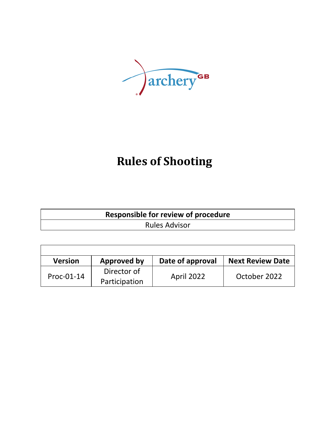archery<sup>GB</sup>

# **Rules of Shooting**

# **Responsible for review of procedure** Rules Advisor

| <b>Version</b> | Approved by                  | Date of approval | <b>Next Review Date</b> |
|----------------|------------------------------|------------------|-------------------------|
| Proc-01-14     | Director of<br>Participation | April 2022       | October 2022            |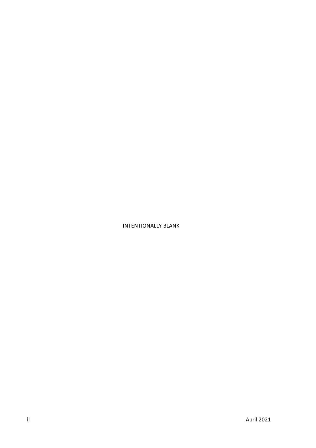INTENTIONALLY BLANK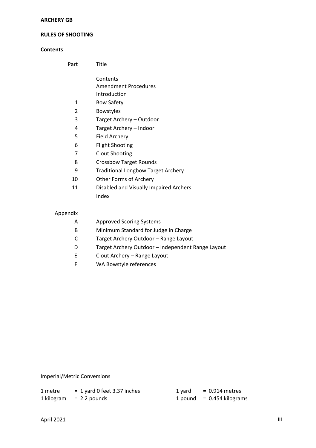#### **ARCHERY GB**

#### **RULES OF SHOOTING**

#### **Contents**

- Part Title
	- Contents Amendment Procedures Introduction
	- 1 Bow Safety
	- 2 Bowstyles
	- 3 Target Archery Outdoor
	- 4 Target Archery Indoor
	- 5 Field Archery
	- 6 Flight Shooting
	- 7 Clout Shooting
	- 8 Crossbow Target Rounds
	- 9 Traditional Longbow Target Archery
	- 10 Other Forms of Archery
	- 11 Disabled and Visually Impaired Archers Index

# Appendix

- A Approved Scoring Systems
- B Minimum Standard for Judge in Charge
- C Target Archery Outdoor Range Layout
- D Target Archery Outdoor Independent Range Layout
- E Clout Archery Range Layout
- F WA Bowstyle references

# Imperial/Metric Conversions

| 1 metre    | $= 1$ yard 0 feet 3.37 inches | 1 yard | $= 0.914$ metres            |
|------------|-------------------------------|--------|-----------------------------|
| 1 kilogram | $= 2.2$ pounds                |        | $1$ pound = 0.454 kilograms |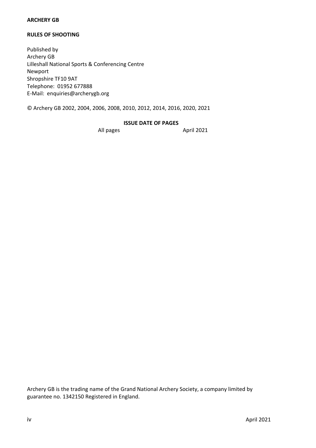# **ARCHERY GB**

#### **RULES OF SHOOTING**

Published by Archery GB Lilleshall National Sports & Conferencing Centre Newport Shropshire TF10 9AT Telephone: 01952 677888 E-Mail: enquiries@archerygb.org

© Archery GB 2002, 2004, 2006, 2008, 2010, 2012, 2014, 2016, 2020, 2021

#### **ISSUE DATE OF PAGES**

All pages April 2021

Archery GB is the trading name of the Grand National Archery Society, a company limited by guarantee no. 1342150 Registered in England.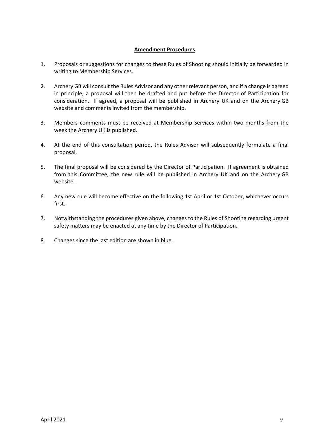#### **Amendment Procedures**

- 1. Proposals or suggestions for changes to these Rules of Shooting should initially be forwarded in writing to Membership Services.
- 2. Archery GB will consult the Rules Advisor and any other relevant person, and if a change is agreed in principle, a proposal will then be drafted and put before the Director of Participation for consideration. If agreed, a proposal will be published in Archery UK and on the Archery GB website and comments invited from the membership.
- 3. Members comments must be received at Membership Services within two months from the week the Archery UK is published.
- 4. At the end of this consultation period, the Rules Advisor will subsequently formulate a final proposal.
- 5. The final proposal will be considered by the Director of Participation. If agreement is obtained from this Committee, the new rule will be published in Archery UK and on the Archery GB website.
- 6. Any new rule will become effective on the following 1st April or 1st October, whichever occurs first.
- 7. Notwithstanding the procedures given above, changes to the Rules of Shooting regarding urgent safety matters may be enacted at any time by the Director of Participation.
- 8. Changes since the last edition are shown in blue.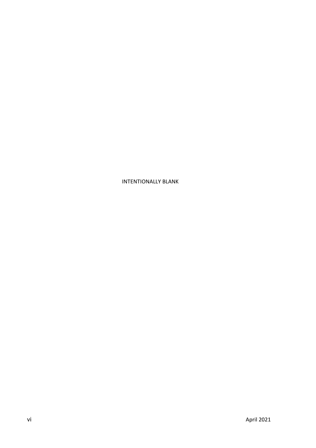# INTENTIONALLY BLANK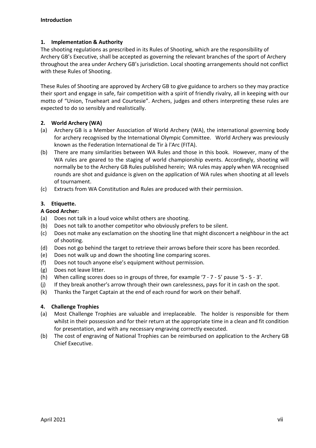# **1. Implementation & Authority**

The shooting regulations as prescribed in its Rules of Shooting, which are the responsibility of Archery GB's Executive, shall be accepted as governing the relevant branches of the sport of Archery throughout the area under Archery GB's jurisdiction. Local shooting arrangements should not conflict with these Rules of Shooting.

These Rules of Shooting are approved by Archery GB to give guidance to archers so they may practice their sport and engage in safe, fair competition with a spirit of friendly rivalry, all in keeping with our motto of "Union, Trueheart and Courtesie". Archers, judges and others interpreting these rules are expected to do so sensibly and realistically.

# **2. World Archery (WA)**

- (a) Archery GB is a Member Association of World Archery (WA), the international governing body for archery recognised by the International Olympic Committee. World Archery was previously known as the Federation International de Tir à l'Arc (FITA).
- (b) There are many similarities between WA Rules and those in this book. However, many of the WA rules are geared to the staging of world championship events. Accordingly, shooting will normally be to the Archery GB Rules published herein; WA rules may apply when WA recognised rounds are shot and guidance is given on the application of WA rules when shooting at all levels of tournament.
- (c) Extracts from WA Constitution and Rules are produced with their permission.

# **3. Etiquette.**

# **A Good Archer:**

- (a) Does not talk in a loud voice whilst others are shooting.
- (b) Does not talk to another competitor who obviously prefers to be silent.
- (c) Does not make any exclamation on the shooting line that might disconcert a neighbour in the act of shooting.
- (d) Does not go behind the target to retrieve their arrows before their score has been recorded.
- (e) Does not walk up and down the shooting line comparing scores.
- (f) Does not touch anyone else's equipment without permission.
- (g) Does not leave litter.
- (h) When calling scores does so in groups of three, for example '7 7 5' pause '5 5 3'.
- (j) If they break another's arrow through their own carelessness, pays for it in cash on the spot.
- (k) Thanks the Target Captain at the end of each round for work on their behalf.

# **4. Challenge Trophies**

- (a) Most Challenge Trophies are valuable and irreplaceable. The holder is responsible for them whilst in their possession and for their return at the appropriate time in a clean and fit condition for presentation, and with any necessary engraving correctly executed.
- (b) The cost of engraving of National Trophies can be reimbursed on application to the Archery GB Chief Executive.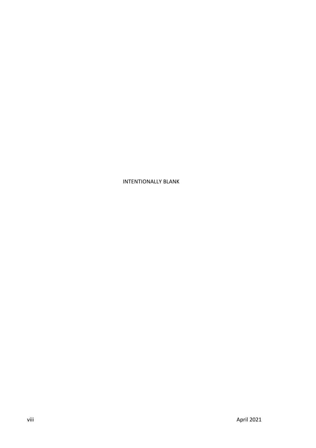# INTENTIONALLY BLANK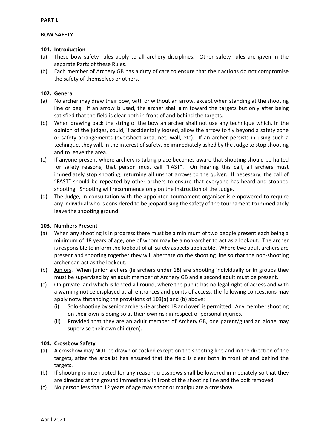# **BOW SAFETY**

#### **101. Introduction**

- (a) These bow safety rules apply to all archery disciplines. Other safety rules are given in the separate Parts of these Rules.
- (b) Each member of Archery GB has a duty of care to ensure that their actions do not compromise the safety of themselves or others.

#### **102. General**

- (a) No archer may draw their bow, with or without an arrow, except when standing at the shooting line or peg. If an arrow is used, the archer shall aim toward the targets but only after being satisfied that the field is clear both in front of and behind the targets.
- (b) When drawing back the string of the bow an archer shall not use any technique which, in the opinion of the judges, could, if accidentally loosed, allow the arrow to fly beyond a safety zone or safety arrangements (overshoot area, net, wall, etc). If an archer persists in using such a technique, they will, in the interest of safety, be immediately asked by the Judge to stop shooting and to leave the area.
- (c) If anyone present where archery is taking place becomes aware that shooting should be halted for safety reasons, that person must call "FAST". On hearing this call, all archers must immediately stop shooting, returning all unshot arrows to the quiver. If necessary, the call of "FAST" should be repeated by other archers to ensure that everyone has heard and stopped shooting. Shooting will recommence only on the instruction of the Judge.
- (d) The Judge, in consultation with the appointed tournament organiser is empowered to require any individual who is considered to be jeopardising the safety of the tournament to immediately leave the shooting ground.

#### **103. Numbers Present**

- (a) When any shooting is in progress there must be a minimum of two people present each being a minimum of 18 years of age, one of whom may be a non-archer to act as a lookout. The archer is responsible to inform the lookout of all safety aspects applicable. Where two adult archers are present and shooting together they will alternate on the shooting line so that the non-shooting archer can act as the lookout.
- (b) Juniors. When junior archers (ie archers under 18) are shooting individually or in groups they must be supervised by an adult member of Archery GB and a second adult must be present.
- (c) On private land which is fenced all round, where the public has no legal right of access and with a warning notice displayed at all entrances and points of access, the following concessions may apply notwithstanding the provisions of 103(a) and (b) above:
	- (i) Solo shooting by senior archers (ie archers 18 and over) is permitted. Any member shooting on their own is doing so at their own risk in respect of personal injuries.
	- (ii) Provided that they are an adult member of Archery GB, one parent/guardian alone may supervise their own child(ren).

# **104. Crossbow Safety**

- (a) A crossbow may NOT be drawn or cocked except on the shooting line and in the direction of the targets, after the arbalist has ensured that the field is clear both in front of and behind the targets.
- (b) If shooting is interrupted for any reason, crossbows shall be lowered immediately so that they are directed at the ground immediately in front of the shooting line and the bolt removed.
- (c) No person less than 12 years of age may shoot or manipulate a crossbow.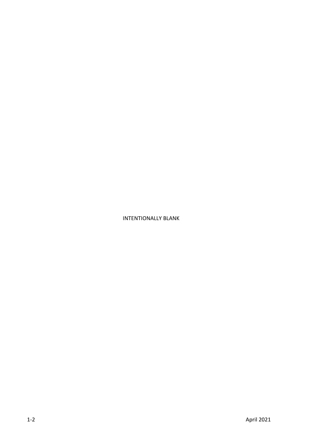INTENTIONALLY BLANK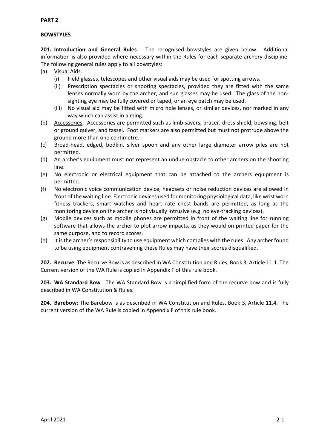#### **PART 2**

# **BOWSTYLES**

**201. Introduction and General Rules** The recognised bowstyles are given below. Additional information is also provided where necessary within the Rules for each separate archery discipline. The following general rules apply to all bowstyles:

- (a) Visual Aids.
	- (i) Field glasses, telescopes and other visual aids may be used for spotting arrows.
	- (ii) Prescription spectacles or shooting spectacles, provided they are fitted with the same lenses normally worn by the archer, and sun glasses may be used. The glass of the nonsighting eye may be fully covered or taped, or an eye patch may be used.
	- (iii) No visual aid may be fitted with micro hole lenses, or similar devices, nor marked in any way which can assist in aiming.
- (b) Accessories. Accessories are permitted such as limb savers, bracer, dress shield, bowsling, belt or ground quiver, and tassel. Foot markers are also permitted but must not protrude above the ground more than one centimetre.
- (c) Broad-head, edged, bodkin, silver spoon and any other large diameter arrow piles are not permitted.
- (d) An archer's equipment must not represent an undue obstacle to other archers on the shooting line.
- (e) No electronic or electrical equipment that can be attached to the archers equipment is permitted.
- (f) No electronic voice communication device, headsets or noise reduction devices are allowed in front of the waiting line. Electronic devices used for monitoring physiological data, like wrist worn fitness trackers, smart watches and heart rate chest bands are permitted, as long as the monitoring device on the archer is not visually intrusive (e.g. no eye-tracking devices).
- (g) Mobile devices such as mobile phones are permitted in front of the waiting line for running software that allows the archer to plot arrow impacts, as they would on printed paper for the same purpose, and to record scores.
- (h) It is the archer's responsibility to use equipment which complies with the rules. Any archer found to be using equipment contravening these Rules may have their scores disqualified.

**202. Recurve**: The Recurve Bow is as described in WA Constitution and Rules, Book 3, Article 11.1. The Current version of the WA Rule is copied in Appendix F of this rule book.

**203. WA Standard Bow** The WA Standard Bow is a simplified form of the recurve bow and is fully described in WA Constitution & Rules.

**204. Barebow:** The Barebow is as described in WA Constitution and Rules, Book 3, Article 11.4. The current version of the WA Rule is copied in Appendix F of this rule book.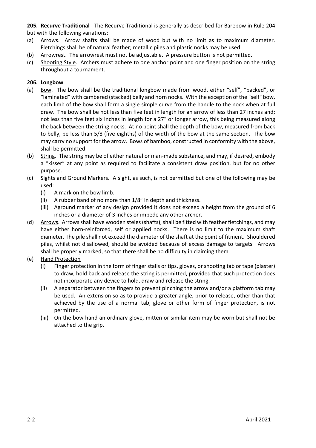**205. Recurve Traditional** The Recurve Traditional is generally as described for Barebow in Rule 204 but with the following variations:

- (a) Arrows. Arrow shafts shall be made of wood but with no limit as to maximum diameter. Fletchings shall be of natural feather; metallic piles and plastic nocks may be used.
- (b) Arrowrest. The arrowrest must not be adjustable. A pressure button is not permitted.
- (c) Shooting Style. Archers must adhere to one anchor point and one finger position on the string throughout a tournament.

# **206. Longbow**

- (a) Bow. The bow shall be the traditional longbow made from wood, either "self", "backed", or "laminated" with cambered (stacked) belly and horn nocks. With the exception of the "self" bow, each limb of the bow shall form a single simple curve from the handle to the nock when at full draw. The bow shall be not less than five feet in length for an arrow of less than 27 inches and; not less than five feet six inches in length for a 27" or longer arrow, this being measured along the back between the string nocks. At no point shall the depth of the bow, measured from back to belly, be less than 5/8 (five eighths) of the width of the bow at the same section. The bow may carry no support for the arrow. Bows of bamboo, constructed in conformity with the above, shall be permitted.
- (b) String. The string may be of either natural or man-made substance, and may, if desired, embody a "kisser" at any point as required to facilitate a consistent draw position, but for no other purpose.
- (c) Sights and Ground Markers. A sight, as such, is not permitted but one of the following may be used:
	- (i) A mark on the bow limb.
	- (ii) A rubber band of no more than 1/8" in depth and thickness.
	- (iii) Aground marker of any design provided it does not exceed a height from the ground of 6 inches or a diameter of 3 inches or impede any other archer.
- (d) Arrows. Arrows shall have wooden steles (shafts), shall be fitted with feather fletchings, and may have either horn-reinforced, self or applied nocks. There is no limit to the maximum shaft diameter. The pile shall not exceed the diameter of the shaft at the point of fitment. Shouldered piles, whilst not disallowed, should be avoided because of excess damage to targets. Arrows shall be properly marked, so that there shall be no difficulty in claiming them.
- (e) Hand Protection
	- (i) Finger protection in the form of finger stalls or tips, gloves, or shooting tab or tape (plaster) to draw, hold back and release the string is permitted, provided that such protection does not incorporate any device to hold, draw and release the string.
	- (ii) A separator between the fingers to prevent pinching the arrow and/or a platform tab may be used. An extension so as to provide a greater angle, prior to release, other than that achieved by the use of a normal tab, glove or other form of finger protection, is not permitted.
	- (iii) On the bow hand an ordinary glove, mitten or similar item may be worn but shall not be attached to the grip.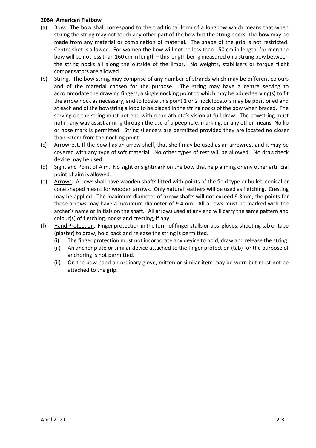#### **206A American Flatbow**

- (a) Bow. The bow shall correspond to the traditional form of a longbow which means that when strung the string may not touch any other part of the bow but the string nocks. The bow may be made from any material or combination of material. The shape of the grip is not restricted. Centre shot is allowed. For women the bow will not be less than 150 cm in length, for men the bow will be not less than 160 cm in length – this length being measured on a strung bow between the string nocks all along the outside of the limbs. No weights, stabilisers or torque flight compensators are allowed
- (b) String. The bow string may comprise of any number of strands which may be different colours and of the material chosen for the purpose. The string may have a centre serving to accommodate the drawing fingers, a single nocking point to which may be added serving(s) to fit the arrow nock as necessary, and to locate this point 1 or 2 nock locators may be positioned and at each end of the bowstring a loop to be placed in the string nocks of the bow when braced. The serving on the string must not end within the athlete's vision at full draw. The bowstring must not in any way assist aiming through the use of a peephole, marking, or any other means. No lip or nose mark is permitted. String silencers are permitted provided they are located no closer than 30 cm from the nocking point.
- (c) Arrowrest. If the bow has an arrow shelf, that shelf may be used as an arrowrest and it may be covered with any type of soft material. No other types of rest will be allowed. No drawcheck device may be used.
- (d) Sight and Point of Aim. No sight or sightmark on the bow that help aiming or any other artificial point of aim is allowed.
- (e) Arrows. Arrows shall have wooden shafts fitted with points of the field type or bullet, conical or cone shaped meant for wooden arrows. Only natural feathers will be used as fletching. Cresting may be applied. The maximum diameter of arrow shafts will not exceed 9.3mm; the points for these arrows may have a maximum diameter of 9.4mm. All arrows must be marked with the archer's name or initials on the shaft. All arrows used at any end will carry the same pattern and colour(s) of fletching, nocks and cresting, if any.
- (f) Hand Protection. Finger protection in the form of finger stalls or tips, gloves, shooting tab or tape (plaster) to draw, hold back and release the string is permitted.
	- (i) The finger protection must not incorporate any device to hold, draw and release the string.
	- (ii) An anchor plate or similar device attached to the finger protection (tab) for the purpose of anchoring is not permitted.
	- (ii) On the bow hand an ordinary glove, mitten or similar item may be worn but must not be attached to the grip.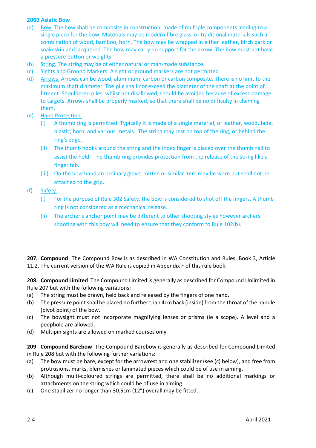#### **206B Asiatic Bow**

- (a) Bow. The bow shall be composite in construction, made of multiple components leading to a single piece for the bow. Materials may be modern fibre glass, or traditional materials such a combination of wood, bamboo, horn. The bow may be wrapped in either leather, birch bark or snakeskin and lacquered. The bow may carry no support for the arrow. The bow must not have a pressure button or weights
- (b) String. The string may be of either natural or man-made substance.
- (c) Sights and Ground Markers. A sight or ground markers are not permitted.
- (d) Arrows. Arrows can be wood, aluminium, carbon or carbon composite. There is no limit to the maximum shaft diameter. The pile shall not exceed the diameter of the shaft at the point of fitment. Shouldered piles, whilst not disallowed, should be avoided because of excess damage to targets. Arrows shall be properly marked, so that there shall be no difficulty in claiming them.
- (e) Hand Protection.
	- (i) A thumb ring is permitted. Typically it is made of a single material, of leather, wood, Jade, plastic, horn, and various metals. The string may rest on top of the ring, or behind the ring's edge.
	- (ii) The thumb hooks around the string and the index finger is placed over the thumb nail to assist the hold. The thumb ring provides protection from the release of the string like a finger tab.
	- (iii) On the bow hand an ordinary glove, mitten or similar item may be worn but shall not be attached to the grip.
- (f) Safety.
	- (i) For the purpose of Rule 302 Safety, the bow is considered to shot off the fingers. A thumb ring is not considered as a mechanical release.
	- (ii) The archer's anchor point may be different to other shooting styles however archers shooting with this bow will need to ensure that they conform to Rule 102(b).

**207. Compound** The Compound Bow is as described in WA Constitution and Rules, Book 3, Article 11.2. The current version of the WA Rule is copied in Appendix F of this rule book.

**208. Compound Limited** The Compound Limited is generally as described for Compound Unlimited in Rule 207 but with the following variations:

- (a) The string must be drawn, held back and released by the fingers of one hand.
- (b) The pressure point shall be placed no further than 4cm back (inside) from the throat of the handle (pivot point) of the bow.
- (c) The bowsight must not incorporate magnifying lenses or prisms (ie a scope). A level and a peephole are allowed.
- (d) Multipin sights are allowed on marked courses only

**209 Compound Barebow** The Compound Barebow is generally as described for Compound Limited in Rule 208 but with the following further variations:

- (a) The bow must be bare, except for the arrowrest and one stabilizer (see (c) below), and free from protrusions, marks, blemishes or laminated pieces which could be of use in aiming.
- (b) Although multi-coloured strings are permitted, there shall be no additional markings or attachments on the string which could be of use in aiming.
- (c) One stabilizer no longer than 30.5cm (12") overall may be fitted.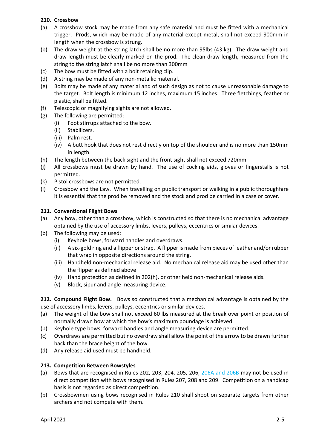# **210. Crossbow**

- (a) A crossbow stock may be made from any safe material and must be fitted with a mechanical trigger. Prods, which may be made of any material except metal, shall not exceed 900mm in length when the crossbow is strung.
- (b) The draw weight at the string latch shall be no more than 95lbs (43 kg). The draw weight and draw length must be clearly marked on the prod. The clean draw length, measured from the string to the string latch shall be no more than 300mm
- (c) The bow must be fitted with a bolt retaining clip.
- (d) A string may be made of any non-metallic material.
- (e) Bolts may be made of any material and of such design as not to cause unreasonable damage to the target. Bolt length is minimum 12 inches, maximum 15 inches. Three fletchings, feather or plastic, shall be fitted.
- (f) Telescopic or magnifying sights are not allowed.
- (g) The following are permitted:
	- (i) Foot stirrups attached to the bow.
	- (ii) Stabilizers.
	- (iii) Palm rest.
	- (iv) A butt hook that does not rest directly on top of the shoulder and is no more than 150mm in length.
- (h) The length between the back sight and the front sight shall not exceed 720mm.
- (j) All crossbows must be drawn by hand. The use of cocking aids, gloves or fingerstalls is not permitted.
- (k) Pistol crossbows are not permitted.
- (l) Crossbow and the Law. When travelling on public transport or walking in a public thoroughfare it is essential that the prod be removed and the stock and prod be carried in a case or cover.

# **211. Conventional Flight Bows**

- (a) Any bow, other than a crossbow, which is constructed so that there is no mechanical advantage obtained by the use of accessory limbs, levers, pulleys, eccentrics or similar devices.
- (b) The following may be used:
	- (i) Keyhole bows, forward handles and overdraws.
	- (ii) A six-gold ring and a flipper or strap. A flipper is made from pieces of leather and/or rubber that wrap in opposite directions around the string.
	- (iii) Handheld non-mechanical release aid. No mechanical release aid may be used other than the flipper as defined above
	- (iv) Hand protection as defined in 202(h), or other held non-mechanical release aids.
	- (v) Block, sipur and angle measuring device.

**212. Compound Flight Bow.** Bows so constructed that a mechanical advantage is obtained by the use of accessory limbs, levers, pulleys, eccentrics or similar devices.

- (a) The weight of the bow shall not exceed 60 lbs measured at the break over point or position of normally drawn bow at which the bow's maximum poundage is achieved.
- (b) Keyhole type bows, forward handles and angle measuring device are permitted.
- (c) Overdraws are permitted but no overdraw shall allow the point of the arrow to be drawn further back than the brace height of the bow.
- (d) Any release aid used must be handheld.

# **213. Competition Between Bowstyles**

- (a) Bows that are recognised in Rules 202, 203, 204, 205, 206, 206A and 206B may not be used in direct competition with bows recognised in Rules 207, 208 and 209. Competition on a handicap basis is not regarded as direct competition.
- (b) Crossbowmen using bows recognised in Rules 210 shall shoot on separate targets from other archers and not compete with them.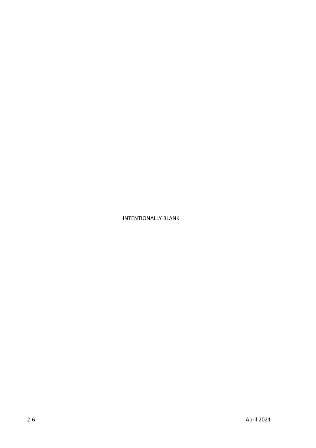INTENTIONALLY BLANK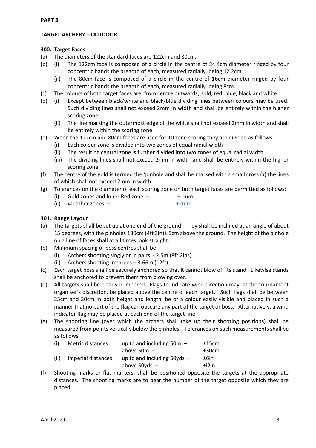# **TARGET ARCHERY** – **OUTDOOR**

# **300. Target Faces**

- (a) The diameters of the standard faces are 122cm and 80cm.
- (b) (i) The 122cm face is composed of a circle in the centre of 24.4cm diameter ringed by four concentric bands the breadth of each, measured radially, being 12.2cm.
	- (ii) The 80cm face is composed of a circle in the centre of 16cm diameter ringed by four concentric bands the breadth of each, measured radially, being 8cm.
- (c) The colours of both target faces are, from centre outwards, gold, red, blue, black and white.
- (d) (i) Except between black/white and black/blue dividing lines between colours may be used. Such dividing lines shall not exceed 2mm in width and shall be entirely within the higher scoring zone.
	- (ii) The line marking the outermost edge of the white shall not exceed 2mm in width and shall be entirely within the scoring zone.
- (e) When the 122cm and 80cm faces are used for 10 zone scoring they are divided as follows:
	- (i) Each colour zone is divided into two zones of equal radial width
	- (ii) The resulting central zone is further divided into two zones of equal radial width.
	- (iii) The dividing lines shall not exceed 2mm in width and shall be entirely within the higher scoring zone.
- (f) The centre of the gold is termed the 'pinhole and shall be marked with a small cross (x) the lines of which shall not exceed 2mm in width.
- (g) Tolerances on the diameter of each scoring zone on both target faces are permitted as follows:
	- (i) Gold zones and Inner Red zone  $\pm$ 1mm
	- (ii) All other zones  $\pm 2mm$

#### **301. Range Layout**

- (a) The targets shall be set up at one end of the ground. They shall be inclined at an angle of about 15 degrees, with the pinholes 130cm (4ft 3in)± 5cm above the ground. The height of the pinhole on a line of faces shall at all times look straight.
- (b) Minimum spacing of boss centres shall be:
	- (i) Archers shooting singly or in pairs 2.5m (8ft 2ins)
	- (ii) Archers shooting in threes 3.66m (12ft)
- (c) Each target boss shall be securely anchored so that it cannot blow off its stand. Likewise stands shall be anchored to prevent them from blowing over.
- (d) All targets shall be clearly numbered. Flags to indicate wind direction may, at the tournament organiser's discretion, be placed above the centre of each target. Such flags shall be between 25cm and 30cm in both height and length, be of a colour easily visible and placed in such a manner that no part of the flag can obscure any part of the target or boss. Alternatively, a wind indicator flag may be placed at each end of the target line.
- (e) The shooting line (over which the archers shall take up their shooting positions) shall be measured from points vertically below the pinholes. Tolerances on such measurements shall be as follows:

| (i)  | Metric distances:   | up to and including $50m -$   | ±15cm    |
|------|---------------------|-------------------------------|----------|
|      |                     | above $50m -$                 | ±30cm    |
| (ii) | Imperial distances: | up to and including $50yds -$ | ±6in     |
|      |                     | above $50vds -$               | $±12$ in |

(f) Shooting marks or flat markers, shall be positioned opposite the targets at the appropriate distances. The shooting marks are to bear the number of the target opposite which they are placed.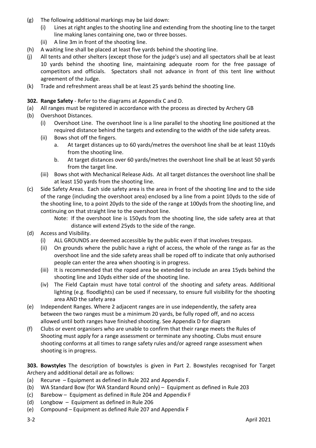- (g) The following additional markings may be laid down:
	- (i) Lines at right angles to the shooting line and extending from the shooting line to the target line making lanes containing one, two or three bosses.
	- (ii) A line 3m in front of the shooting line.
- (h) A waiting line shall be placed at least five yards behind the shooting line.
- (j) All tents and other shelters (except those for the judge's use) and all spectators shall be at least 10 yards behind the shooting line, maintaining adequate room for the free passage of competitors and officials. Spectators shall not advance in front of this tent line without agreement of the Judge.
- (k) Trade and refreshment areas shall be at least 25 yards behind the shooting line.

**302. Range Safety** - Refer to the diagrams at Appendix C and D.

- (a) All ranges must be registered in accordance with the process as directed by Archery GB
- (b) Overshoot Distances.
	- (i) Overshoot Line. The overshoot line is a line parallel to the shooting line positioned at the required distance behind the targets and extending to the width of the side safety areas.
	- (ii) Bows shot off the fingers.
		- a. At target distances up to 60 yards/metres the overshoot line shall be at least 110yds from the shooting line.
		- b. At target distances over 60 yards/metres the overshoot line shall be at least 50 yards from the target line.
	- (iii) Bows shot with Mechanical Release Aids. At all target distances the overshoot line shall be at least 150 yards from the shooting line.
- (c) Side Safety Areas. Each side safety area is the area in front of the shooting line and to the side of the range (including the overshoot area) enclosed by a line from a point 10yds to the side of the shooting line, to a point 20yds to the side of the range at 100yds from the shooting line, and continuing on that straight line to the overshoot line.
	- Note: If the overshoot line is 150yds from the shooting line, the side safety area at that distance will extend 25yds to the side of the range.
- (d) Access and Visibility.
	- (i) ALL GROUNDS are deemed accessible by the public even if that involves trespass.
	- (ii) On grounds where the public have a right of access, the whole of the range as far as the overshoot line and the side safety areas shall be roped off to indicate that only authorised people can enter the area when shooting is in progress.
	- (iii) It is recommended that the roped area be extended to include an area 15yds behind the shooting line and 10yds either side of the shooting line.
	- (iv) The Field Captain must have total control of the shooting and safety areas. Additional lighting (e.g. floodlights) can be used if necessary, to ensure full visibility for the shooting area AND the safety area
- (e) Independent Ranges. Where 2 adjacent ranges are in use independently, the safety area between the two ranges must be a minimum 20 yards, be fully roped off, and no access allowed until both ranges have finished shooting. See Appendix D for diagram
- (f) Clubs or event organisers who are unable to confirm that their range meets the Rules of Shooting must apply for a range assessment or terminate any shooting. Clubs must ensure shooting conforms at all times to range safety rules and/or agreed range assessment when shooting is in progress.

**303. Bowstyles** The description of bowstyles is given in Part 2. Bowstyles recognised for Target Archery and additional detail are as follows:

- (a) Recurve Equipment as defined in Rule 202 and Appendix F.
- (b) WA Standard Bow (for WA Standard Round only) Equipment as defined in Rule 203
- (c) Barebow Equipment as defined in Rule 204 and Appendix F
- (d) Longbow Equipment as defined in Rule 206
- (e) Compound Equipment as defined Rule 207 and Appendix F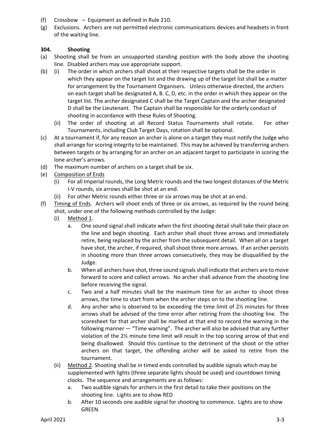- (f) Crossbow Equipment as defined in Rule 210.
- (g) Exclusions. Archers are not permitted electronic communications devices and headsets in front of the waiting line.

# **304. Shooting**

- (a) Shooting shall be from an unsupported standing position with the body above the shooting line. Disabled archers may use appropriate support.
- (b) (i) The order in which archers shall shoot at their respective targets shall be the order in which they appear on the target list and the drawing up of the target list shall be a matter for arrangement by the Tournament Organisers. Unless otherwise directed, the archers on each target shall be designated A, B. C, D, etc. in the order in which they appear on the target list. The archer designated C shall be the Target Captain and the archer designated D shall be the Lieutenant. The Captain shall be responsible for the orderly conduct of shooting in accordance with these Rules of Shooting.
	- (ii) The order of shooting at all Record Status Tournaments shall rotate. For other Tournaments, including Club Target Days, rotation shall be optional.
- (c) At a tournament if, for any reason an archer is alone on a target they must notify the Judge who shall arrange for scoring integrity to be maintained. This may be achieved by transferring archers between targets or by arranging for an archer on an adjacent target to participate in scoring the lone archer's arrows.
- (d) The maximum number of archers on a target shall be six.
- (e) Composition of Ends
	- (i) For all Imperial rounds, the Long Metric rounds and the two longest distances of the Metric I-V rounds, six arrows shall be shot at an end.
	- (ii) For other Metric rounds either three or six arrows may be shot at an end.
- (f) Timing of Ends. Archers will shoot ends of three or six arrows, as required by the round being shot, under one of the following methods controlled by the Judge:
	- (i) Method 1.
		- a. One sound signal shall indicate when the first shooting detail shall take their place on the line and begin shooting. Each archer shall shoot three arrows and immediately retire, being replaced by the archer from the subsequent detail. When all on a target have shot, the archer, if required, shall shoot three more arrows. If an archer persists in shooting more than three arrows consecutively, they may be disqualified by the Judge.
		- b. When all archers have shot, three sound signals shall indicate that archers are to move forward to score and collect arrows. No archer shall advance from the shooting line before receiving the signal.
		- c. Two and a half minutes shall be the maximum time for an archer to shoot three arrows, the time to start from when the archer steps on to the shooting line.
		- d. Any archer who is observed to be exceeding the time limit of  $2\frac{1}{2}$  minutes for three arrows shall be advised of the time error after retiring from the shooting line. The scoresheet for that archer shall be marked at that end to record the warning in the following manner — "Time warning". The archer will also be advised that any further violation of the 2½ minute time limit will result in the top scoring arrow of that end being disallowed. Should this continue to the detriment of the shoot or the other archers on that target, the offending archer will be asked to retire from the tournament.
	- (ii) Method 2. Shooting shall be in timed ends controlled by audible signals which may be supplemented with lights (three separate lights should be used) and countdown timing clocks. The sequence and arrangements are as follows:
		- a. Two audible signals for archers in the first detail to take their positions on the shooting line. Lights are to show RED
		- b. After 10 seconds one audible signal for shooting to commence. Lights are to show GREEN.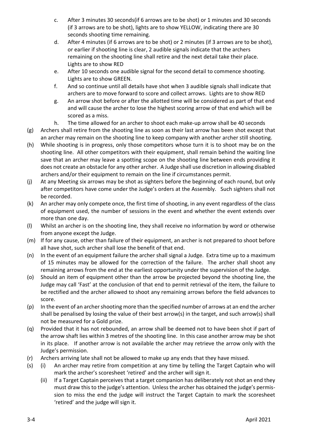- c. After 3 minutes 30 seconds(if 6 arrows are to be shot) or 1 minutes and 30 seconds (if 3 arrows are to be shot), lights are to show YELLOW, indicating there are 30 seconds shooting time remaining.
- d. After 4 minutes (if 6 arrows are to be shot) or 2 minutes (if 3 arrows are to be shot), or earlier if shooting line is clear, 2 audible signals indicate that the archers remaining on the shooting line shall retire and the next detail take their place. Lights are to show RED
- e. After 10 seconds one audible signal for the second detail to commence shooting. Lights are to show GREEN.
- f. And so continue until all details have shot when 3 audible signals shall indicate that archers are to move forward to score and collect arrows. Lights are to show RED
- g. An arrow shot before or after the allotted time will be considered as part of that end and will cause the archer to lose the highest scoring arrow of that end which will be scored as a miss.
- h. The time allowed for an archer to shoot each make-up arrow shall be 40 seconds
- (g) Archers shall retire from the shooting line as soon as their last arrow has been shot except that an archer may remain on the shooting line to keep company with another archer still shooting.
- (h) While shooting is in progress, only those competitors whose turn it is to shoot may be on the shooting line. All other competitors with their equipment, shall remain behind the waiting line save that an archer may leave a spotting scope on the shooting line between ends providing it does not create an obstacle for any other archer. A Judge shall use discretion in allowing disabled archers and/or their equipment to remain on the line if circumstances permit.
- (j) At any Meeting six arrows may be shot as sighters before the beginning of each round, but only after competitors have come under the Judge's orders at the Assembly. Such sighters shall not be recorded.
- (k) An archer may only compete once, the first time of shooting, in any event regardless of the class of equipment used, the number of sessions in the event and whether the event extends over more than one day.
- (l) Whilst an archer is on the shooting line, they shall receive no information by word or otherwise from anyone except the Judge.
- (m) If for any cause, other than failure of their equipment, an archer is not prepared to shoot before all have shot, such archer shall lose the benefit of that end.
- (n) In the event of an equipment failure the archer shall signal a Judge. Extra time up to a maximum of 15 minutes may be allowed for the correction of the failure. The archer shall shoot any remaining arrows from the end at the earliest opportunity under the supervision of the Judge.
- (o) Should an item of equipment other than the arrow be projected beyond the shooting line, the Judge may call 'Fast' at the conclusion of that end to permit retrieval of the item, the failure to be rectified and the archer allowed to shoot any remaining arrows before the field advances to score.
- (p) In the event of an archer shooting more than the specified number of arrows at an end the archer shall be penalised by losing the value of their best arrow(s) in the target, and such arrow(s) shall not be measured for a Gold prize.
- (q) Provided that it has not rebounded, an arrow shall be deemed not to have been shot if part of the arrow shaft lies within 3 metres of the shooting line. In this case another arrow may be shot in its place. If another arrow is not available the archer may retrieve the arrow only with the Judge's permission.
- (r) Archers arriving late shall not be allowed to make up any ends that they have missed.
- (s) (i) An archer may retire from competition at any time by telling the Target Captain who will mark the archer's scoresheet 'retired' and the archer will sign it.
	- (ii) If a Target Captain perceives that a target companion has deliberately not shot an end they must draw this to the judge's attention. Unless the archer has obtained the judge's permission to miss the end the judge will instruct the Target Captain to mark the scoresheet 'retired' and the judge will sign it.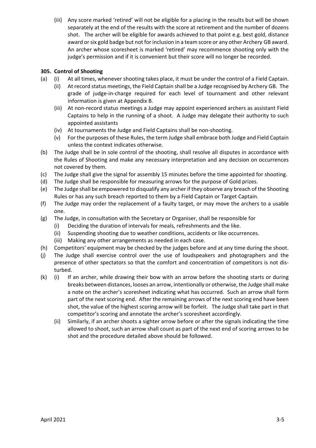(iii) Any score marked 'retired' will not be eligible for a placing in the results but will be shown separately at the end of the results with the score at retirement and the number of dozens shot. The archer will be eligible for awards achieved to that point e.g. best gold, distance award or six gold badge but not for inclusion in a team score or any other Archery GB award. An archer whose scoresheet is marked 'retired' may recommence shooting only with the judge's permission and if it is convenient but their score will no longer be recorded.

# **305. Control of Shooting**

- (a) (i) At all times, whenever shooting takes place, it must be under the control of a Field Captain.
	- (ii) At record status meetings, the Field Captain shall be a Judge recognised by Archery GB. The grade of judge-in-charge required for each level of tournament and other relevant information is given at Appendix B.
	- (iii) At non-record status meetings a Judge may appoint experienced archers as assistant Field Captains to help in the running of a shoot. A Judge may delegate their authority to such appointed assistants
	- (iv) At tournaments the Judge and Field Captains shall be non-shooting.
	- (v) For the purposes of these Rules, the term Judge shall embrace both Judge and Field Captain unless the context indicates otherwise.
- (b) The Judge shall be in sole control of the shooting, shall resolve all disputes in accordance with the Rules of Shooting and make any necessary interpretation and any decision on occurrences not covered by them.
- (c) The Judge shall give the signal for assembly 15 minutes before the time appointed for shooting.
- (d) The Judge shall be responsible for measuring arrows for the purpose of Gold prizes.
- (e) The Judge shall be empowered to disqualify any archer if they observe any breach of the Shooting Rules or has any such breach reported to them by a Field Captain or Target Captain.
- (f) The Judge may order the replacement of a faulty target, or may move the archers to a usable one.
- (g) The Judge, in consultation with the Secretary or Organiser, shall be responsible for
	- (i) Deciding the duration of intervals for meals, refreshments and the like.
	- (ii) Suspending shooting due to weather conditions, accidents or like occurrences.
	- (iii) Making any other arrangements as needed in each case.
- (h) Competitors' equipment may be checked by the judges before and at any time during the shoot.
- (j) The Judge shall exercise control over the use of loudspeakers and photographers and the presence of other spectators so that the comfort and concentration of competitors is not disturbed.
- (k) (i) If an archer, while drawing their bow with an arrow before the shooting starts or during breaks between distances, looses an arrow, intentionally or otherwise, the Judge shall make a note on the archer's scoresheet indicating what has occurred. Such an arrow shall form part of the next scoring end. After the remaining arrows of the next scoring end have been shot, the value of the highest scoring arrow will be forfeit. The Judge shall take part in that competitor's scoring and annotate the archer's scoresheet accordingly.
	- (ii) Similarly, if an archer shoots a sighter arrow before or after the signals indicating the time allowed to shoot, such an arrow shall count as part of the next end of scoring arrows to be shot and the procedure detailed above should be followed.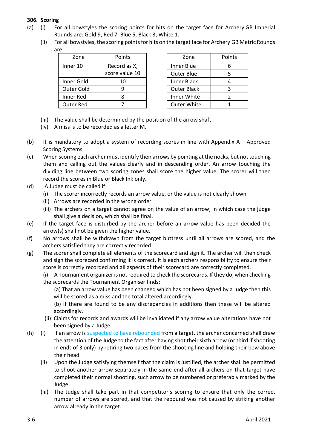# **306. Scoring**

- (a) (i) For all bowstyles the scoring points for hits on the target face for Archery GB Imperial Rounds are: Gold 9, Red 7, Blue 5, Black 3, White 1.
	- (ii) For all bowstyles, the scoring points for hits on the target face for Archery GB Metric Rounds are:

| Zone             | Points         | Zone               | Points |
|------------------|----------------|--------------------|--------|
| Inner 10         | Record as X,   | Inner Blue         |        |
|                  | score value 10 | Outer Blue         |        |
| Inner Gold       |                | <b>Inner Black</b> |        |
| Outer Gold       |                | <b>Outer Black</b> |        |
| <b>Inner Red</b> |                | Inner White        |        |
| Outer Red        |                | Outer White        |        |

| Zone        | Points |
|-------------|--------|
| Inner Blue  | 6      |
| Outer Blue  | 5      |
| Inner Black |        |
| Outer Black | ₹      |
| Inner White | 2      |
| Outer White |        |

- (iii) The value shall be determined by the position of the arrow shaft.
- (iv) A miss is to be recorded as a letter M.
- (b) It is mandatory to adopt a system of recording scores in line with Appendix A Approved Scoring Systems
- (c) When scoring each archer must identify their arrows by pointing at the nocks, but not touching them and calling out the values clearly and in descending order. An arrow touching the dividing line between two scoring zones shall score the higher value. The scorer will then record the scores in Blue or Black Ink only.
- (d) A Judge must be called if:
	- (i) The scorer incorrectly records an arrow value, or the value is not clearly shown
	- (ii) Arrows are recorded in the wrong order
	- (iii) The archers on a target cannot agree on the value of an arrow, in which case the judge shall give a decision, which shall be final.
- (e) If the target face is disturbed by the archer before an arrow value has been decided the arrow(s) shall not be given the higher value.
- (f) No arrows shall be withdrawn from the target buttress until all arrows are scored, and the archers satisfied they are correctly recorded.
- (g) The scorer shall complete all elements of the scorecard and sign it. The archer will then check and sign the scorecard confirming it is correct. It is each archers responsibility to ensure their score is correctly recorded and all aspects of their scorecard are correctly completed.
	- (i) A Tournament organizer is not required to check the scorecards. If they do, when checking the scorecards the Tournament Organiser finds;
		- (a) That an arrow value has been changed which has not been signed by a Judge then this will be scored as a miss and the total altered accordingly.
		- (b) If there are found to be any discrepancies in additions then these will be altered accordingly.
	- (ii) Claims for records and awards will be invalidated if any arrow value alterations have not been signed by a Judge
- (h) (i) If an arrow is suspected to have rebounded from a target, the archer concerned shall draw the attention of the Judge to the fact after having shot their sixth arrow (or third if shooting in ends of 3 only) by retiring two paces from the shooting line and holding their bow above their head.
	- (ii) Upon the Judge satisfying themself that the claim is justified, the archer shall be permitted to shoot another arrow separately in the same end after all archers on that target have completed their normal shooting, such arrow to be numbered or preferably marked by the Judge.
	- (iii) The Judge shall take part in that competitor's scoring to ensure that only the correct number of arrows are scored, and that the rebound was not caused by striking another arrow already in the target.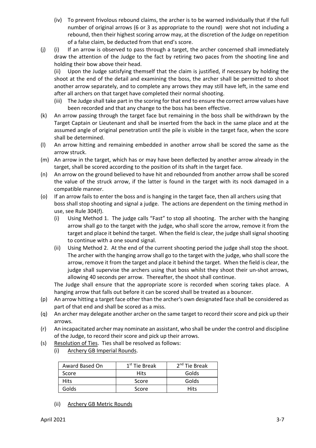- (iv) To prevent frivolous rebound claims, the archer is to be warned individually that if the full number of original arrows (6 or 3 as appropriate to the round) were shot not including a rebound, then their highest scoring arrow may, at the discretion of the Judge on repetition of a false claim, be deducted from that end's score.
- (j) (i) If an arrow is observed to pass through a target, the archer concerned shall immediately draw the attention of the Judge to the fact by retiring two paces from the shooting line and holding their bow above their head.

(ii) Upon the Judge satisfying themself that the claim is justified, if necessary by holding the shoot at the end of the detail and examining the boss, the archer shall be permitted to shoot another arrow separately, and to complete any arrows they may still have left, in the same end after all archers on that target have completed their normal shooting.

- (iii) The Judge shall take part in the scoring for that end to ensure the correct arrow values have been recorded and that any change to the boss has been effective.
- (k) An arrow passing through the target face but remaining in the boss shall be withdrawn by the Target Captain or Lieutenant and shall be inserted from the back in the same place and at the assumed angle of original penetration until the pile is visible in the target face, when the score shall be determined.
- (l) An arrow hitting and remaining embedded in another arrow shall be scored the same as the arrow struck.
- (m) An arrow in the target, which has or may have been deflected by another arrow already in the target, shall be scored according to the position of its shaft in the target face.
- (n) An arrow on the ground believed to have hit and rebounded from another arrow shall be scored the value of the struck arrow, if the latter is found in the target with its nock damaged in a compatible manner.
- (o) If an arrow fails to enter the boss and is hanging in the target face, then all archers using that boss shall stop shooting and signal a judge. The actions are dependent on the timing method in use, see Rule 304(f).
	- (i) Using Method 1. The judge calls "Fast" to stop all shooting. The archer with the hanging arrow shall go to the target with the judge, who shall score the arrow, remove it from the target and place it behind the target. When the field is clear, the judge shall signal shooting to continue with a one sound signal.
	- (ii) Using Method 2. At the end of the current shooting period the judge shall stop the shoot. The archer with the hanging arrow shall go to the target with the judge, who shall score the arrow, remove it from the target and place it behind the target. When the field is clear, the judge shall supervise the archers using that boss whilst they shoot their un-shot arrows, allowing 40 seconds per arrow. Thereafter, the shoot shall continue.

The Judge shall ensure that the appropriate score is recorded when scoring takes place. A hanging arrow that falls out before it can be scored shall be treated as a bouncer.

- (p) An arrow hitting a target face other than the archer's own designated face shall be considered as part of that end and shall be scored as a miss.
- (q) An archer may delegate another archer on the same target to record their score and pick up their arrows.
- (r) An incapacitated archer may nominate an assistant, who shall be under the control and discipline of the Judge, to record their score and pick up their arrows.
- (s) Resolution of Ties. Ties shall be resolved as follows:
	- (i) Archery GB Imperial Rounds.

| Award Based On | $1st$ Tie Break | 2 <sup>nd</sup> Tie Break |
|----------------|-----------------|---------------------------|
| Score          | Hits            | Golds                     |
| Hits           | Score           | Golds                     |
| Golds          | Score           | Hits                      |

(ii) Archery GB Metric Rounds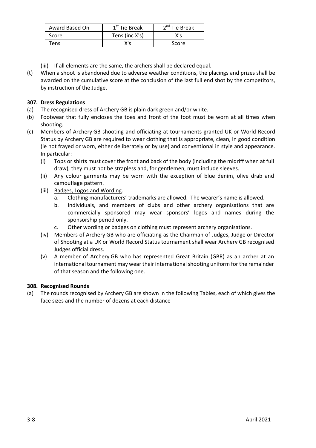| Award Based On | 1 <sup>st</sup> Tie Break | 2 <sup>nd</sup> Tie Break |
|----------------|---------------------------|---------------------------|
| Score          | Tens (inc X's)            | Х'ς                       |
| Tens           | x's                       | Score                     |

- (iii) If all elements are the same, the archers shall be declared equal.
- (t) When a shoot is abandoned due to adverse weather conditions, the placings and prizes shall be awarded on the cumulative score at the conclusion of the last full end shot by the competitors, by instruction of the Judge.

# **307. Dress Regulations**

- (a) The recognised dress of Archery GB is plain dark green and/or white.
- (b) Footwear that fully encloses the toes and front of the foot must be worn at all times when shooting.
- (c) Members of Archery GB shooting and officiating at tournaments granted UK or World Record Status by Archery GB are required to wear clothing that is appropriate, clean, in good condition (ie not frayed or worn, either deliberately or by use) and conventional in style and appearance. In particular:
	- (i) Tops or shirts must cover the front and back of the body (including the midriff when at full draw), they must not be strapless and, for gentlemen, must include sleeves.
	- (ii) Any colour garments may be worn with the exception of blue denim, olive drab and camouflage pattern.
	- (iii) Badges, Logos and Wording.
		- a. Clothing manufacturers' trademarks are allowed. The wearer's name is allowed.
		- b. Individuals, and members of clubs and other archery organisations that are commercially sponsored may wear sponsors' logos and names during the sponsorship period only.
		- c. Other wording or badges on clothing must represent archery organisations.
	- (iv) Members of Archery GB who are officiating as the Chairman of Judges, Judge or Director of Shooting at a UK or World Record Status tournament shall wear Archery GB recognised Judges official dress.
	- (v) A member of Archery GB who has represented Great Britain (GBR) as an archer at an international tournament may wear their international shooting uniform for the remainder of that season and the following one.

# **308. Recognised Rounds**

(a) The rounds recognised by Archery GB are shown in the following Tables, each of which gives the face sizes and the number of dozens at each distance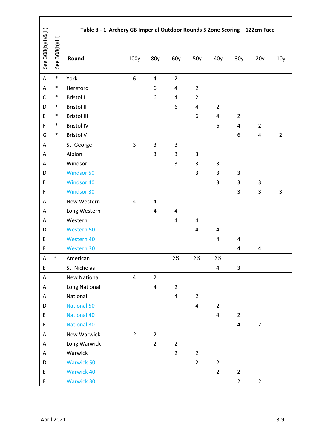|                    |                 | Table 3 - 1 Archery GB Imperial Outdoor Rounds 5 Zone Scoring - 122cm Face |                |                |                |                |                |                |                |                 |
|--------------------|-----------------|----------------------------------------------------------------------------|----------------|----------------|----------------|----------------|----------------|----------------|----------------|-----------------|
| See 308(b)(i)&(ii) | See 308(b)(iii) | Round                                                                      | 100y           | 80y            | 60y            | 50y            | 40y            | 30y            | 20y            | 10 <sub>y</sub> |
| Α                  | *               | York                                                                       | 6              | 4              | $\overline{2}$ |                |                |                |                |                 |
| A                  | $\ast$          | Hereford                                                                   |                | 6              | 4              | $\overline{2}$ |                |                |                |                 |
| C                  | *               | Bristol I                                                                  |                | 6              | 4              | $\overline{2}$ |                |                |                |                 |
| D                  | *               | <b>Bristol II</b>                                                          |                |                | 6              | 4              | 2              |                |                |                 |
| Ε                  | *               | <b>Bristol III</b>                                                         |                |                |                | 6              | 4              | $\overline{2}$ |                |                 |
| F                  | *               | <b>Bristol IV</b>                                                          |                |                |                |                | 6              | 4              | $\overline{2}$ |                 |
| G                  | *               | <b>Bristol V</b>                                                           |                |                |                |                |                | 6              | 4              | $\overline{2}$  |
| Α                  |                 | St. George                                                                 | 3              | 3              | 3              |                |                |                |                |                 |
| Α                  |                 | Albion                                                                     |                | 3              | 3              | 3              |                |                |                |                 |
| A                  |                 | Windsor                                                                    |                |                | 3              | 3              | 3              |                |                |                 |
| D                  |                 | Windsor 50                                                                 |                |                |                | 3              | 3              | 3              |                |                 |
| Ε                  |                 | <b>Windsor 40</b>                                                          |                |                |                |                | 3              | 3              | 3              |                 |
| F                  |                 | Windsor 30                                                                 |                |                |                |                |                | 3              | 3              | 3               |
| А                  |                 | New Western                                                                | 4              | 4              |                |                |                |                |                |                 |
| A                  |                 | Long Western                                                               |                | 4              | 4              |                |                |                |                |                 |
| Α                  |                 | Western                                                                    |                |                | 4              | 4              |                |                |                |                 |
| D                  |                 | <b>Western 50</b>                                                          |                |                |                | 4              | 4              |                |                |                 |
| Ε                  |                 | Western 40                                                                 |                |                |                |                | 4              | 4              |                |                 |
| F                  |                 | Western 30                                                                 |                |                |                |                |                | 4              | 4              |                 |
| А                  | $\ast$          | American                                                                   |                |                | $2\frac{1}{2}$ | $2\frac{1}{2}$ | $2\frac{1}{2}$ |                |                |                 |
| E                  |                 | St. Nicholas                                                               |                |                |                |                | 4              | 3              |                |                 |
| A                  |                 | <b>New National</b>                                                        | $\overline{4}$ | $\overline{2}$ |                |                |                |                |                |                 |
| А                  |                 | Long National                                                              |                | 4              | $\overline{2}$ |                |                |                |                |                 |
| Α                  |                 | National                                                                   |                |                | 4              | 2              |                |                |                |                 |
| D                  |                 | <b>National 50</b>                                                         |                |                |                | 4              | $\overline{2}$ |                |                |                 |
| E                  |                 | <b>National 40</b>                                                         |                |                |                |                | 4              | $\overline{2}$ |                |                 |
| F                  |                 | <b>National 30</b>                                                         |                |                |                |                |                | 4              | 2              |                 |
| Α                  |                 | New Warwick                                                                | $\overline{2}$ | $\overline{2}$ |                |                |                |                |                |                 |
| Α                  |                 | Long Warwick                                                               |                | $\overline{2}$ | $\overline{2}$ |                |                |                |                |                 |
| A                  |                 | Warwick                                                                    |                |                | $\overline{2}$ | 2              |                |                |                |                 |
| D                  |                 | <b>Warwick 50</b>                                                          |                |                |                | 2              | $\overline{2}$ |                |                |                 |
| Ε                  |                 | <b>Warwick 40</b>                                                          |                |                |                |                | $\overline{2}$ | $\overline{2}$ |                |                 |
| F                  |                 | <b>Warwick 30</b>                                                          |                |                |                |                |                | $\overline{2}$ | $\overline{2}$ |                 |
|                    |                 |                                                                            |                |                |                |                |                |                |                |                 |
|                    | April 2021      |                                                                            |                |                |                |                |                |                |                | $3-9$           |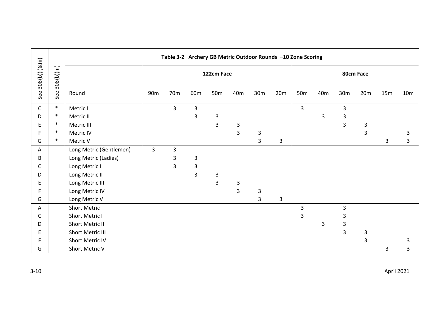|                |             |                         |                 |                 |                 |                 |                 |     | Table 3-2 Archery GB Metric Outdoor Rounds -10 Zone Scoring |                 |                 |     |           |            |                 |
|----------------|-------------|-------------------------|-----------------|-----------------|-----------------|-----------------|-----------------|-----|-------------------------------------------------------------|-----------------|-----------------|-----|-----------|------------|-----------------|
| 308(b)(i)&(ii) | 308(b)(iii) |                         | 122cm Face      |                 |                 |                 |                 |     |                                                             |                 |                 |     | 80cm Face |            |                 |
| See            | See         | Round                   | 90 <sub>m</sub> | 70 <sub>m</sub> | 60 <sub>m</sub> | 50 <sub>m</sub> | 40 <sub>m</sub> | 30m | 20m                                                         | 50 <sub>m</sub> | 40 <sub>m</sub> | 30m | 20m       | 15m        | 10 <sub>m</sub> |
| C              | $\ast$      | Metric I                |                 | 3               | 3               |                 |                 |     |                                                             | 3               |                 | 3   |           |            |                 |
| D              | $\ast$      | Metric II               |                 |                 | 3               | 3               |                 |     |                                                             |                 | 3               | 3   |           |            |                 |
| E              | $\ast$      | Metric III              |                 |                 |                 | 3               | 3               |     |                                                             |                 |                 | 3   | 3         |            |                 |
| F              | $\ast$      | Metric IV               |                 |                 |                 |                 | 3               | 3   |                                                             |                 |                 |     | 3         |            | 3               |
| G              | $\ast$      | Metric V                |                 |                 |                 |                 |                 | 3   | 3                                                           |                 |                 |     |           | 3          | 3               |
| A              |             | Long Metric (Gentlemen) | 3               | 3               |                 |                 |                 |     |                                                             |                 |                 |     |           |            |                 |
| В              |             | Long Metric (Ladies)    |                 | 3               | 3               |                 |                 |     |                                                             |                 |                 |     |           |            |                 |
| $\mathsf C$    |             | Long Metric I           |                 | 3               | 3               |                 |                 |     |                                                             |                 |                 |     |           |            |                 |
| D              |             | Long Metric II          |                 |                 | 3               | 3               |                 |     |                                                             |                 |                 |     |           |            |                 |
| Ε              |             | Long Metric III         |                 |                 |                 | 3               | 3               |     |                                                             |                 |                 |     |           |            |                 |
| F              |             | Long Metric IV          |                 |                 |                 |                 | 3               | 3   |                                                             |                 |                 |     |           |            |                 |
| G              |             | Long Metric V           |                 |                 |                 |                 |                 | 3   | 3                                                           |                 |                 |     |           |            |                 |
| A              |             | <b>Short Metric</b>     |                 |                 |                 |                 |                 |     |                                                             | 3               |                 | 3   |           |            |                 |
| C              |             | <b>Short Metric I</b>   |                 |                 |                 |                 |                 |     |                                                             | 3               |                 | 3   |           |            |                 |
| D              |             | <b>Short Metric II</b>  |                 |                 |                 |                 |                 |     |                                                             |                 | 3               | 3   |           |            |                 |
| E              |             | Short Metric III        |                 |                 |                 |                 |                 |     |                                                             |                 |                 | 3   | 3         |            |                 |
| F              |             | <b>Short Metric IV</b>  |                 |                 |                 |                 |                 |     |                                                             |                 |                 |     | 3         |            | 3               |
| G              |             | Short Metric V          |                 |                 |                 |                 |                 |     |                                                             |                 |                 |     |           | 3          | 3               |
|                |             |                         |                 |                 |                 |                 |                 |     |                                                             |                 |                 |     |           |            |                 |
| $3 - 10$       |             |                         |                 |                 |                 |                 |                 |     |                                                             |                 |                 |     |           | April 2021 |                 |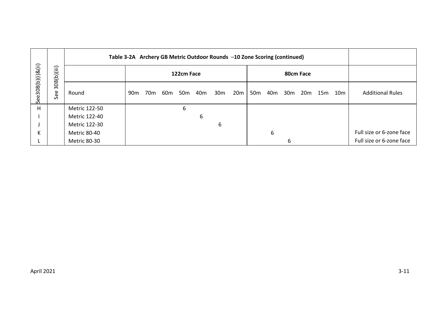|                   |             |                     | Table 3-2A Archery GB Metric Outdoor Rounds -10 Zone Scoring (continued) |                 |     |                 |     |     |                 |                 |     |   |         |     |     |                          |
|-------------------|-------------|---------------------|--------------------------------------------------------------------------|-----------------|-----|-----------------|-----|-----|-----------------|-----------------|-----|---|---------|-----|-----|--------------------------|
|                   | 308(b)(iii) |                     | 122cm Face<br>80cm Face                                                  |                 |     |                 |     |     |                 |                 |     |   |         |     |     |                          |
| See308(b)(i)&(ii) | e.<br>Ō     | Round               | 90 <sub>m</sub>                                                          | 70 <sub>m</sub> | 60m | 50 <sub>m</sub> | 40m | 30m | 20 <sub>m</sub> | 50 <sub>m</sub> | 40m |   | 30m 20m | 15m | 10m | <b>Additional Rules</b>  |
| H                 |             | Metric 122-50       |                                                                          |                 |     | 6               |     |     |                 |                 |     |   |         |     |     |                          |
|                   |             | Metric 122-40       |                                                                          |                 |     |                 | 6   |     |                 |                 |     |   |         |     |     |                          |
|                   |             | Metric 122-30       |                                                                          |                 |     |                 |     | 6   |                 |                 |     |   |         |     |     |                          |
| К                 |             | Metric 80-40        |                                                                          |                 |     |                 |     |     |                 |                 | 6   |   |         |     |     | Full size or 6-zone face |
|                   |             | <b>Metric 80-30</b> |                                                                          |                 |     |                 |     |     |                 |                 |     | 6 |         |     |     | Full size or 6-zone face |
|                   |             |                     |                                                                          |                 |     |                 |     |     |                 |                 |     |   |         |     |     |                          |
|                   |             |                     |                                                                          |                 |     |                 |     |     |                 |                 |     |   |         |     |     |                          |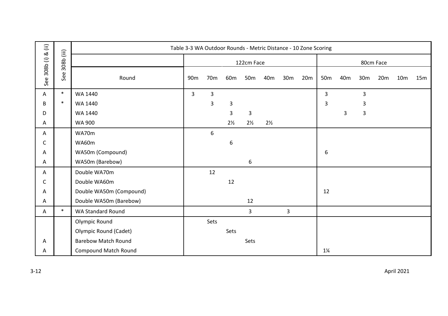| $\widehat{\mathbf{H}}$<br>× |            | Table 3-3 WA Outdoor Rounds - Metric Distance - 10 Zone Scoring |                 |                 |                 |                 |                 |                 |     |                 |                 |     |                 |                 |     |  |  |
|-----------------------------|------------|-----------------------------------------------------------------|-----------------|-----------------|-----------------|-----------------|-----------------|-----------------|-----|-----------------|-----------------|-----|-----------------|-----------------|-----|--|--|
| 308b(i)                     | 308b (iii) |                                                                 | 122cm Face      |                 |                 |                 |                 |                 |     |                 | 80cm Face       |     |                 |                 |     |  |  |
| See                         | See        | Round                                                           | 90 <sub>m</sub> | 70 <sub>m</sub> | 60 <sub>m</sub> | 50 <sub>m</sub> | 40 <sub>m</sub> | 30 <sub>m</sub> | 20m | 50 <sub>m</sub> | 40 <sub>m</sub> | 30m | 20 <sub>m</sub> | 10 <sub>m</sub> | 15m |  |  |
| Α                           | $*$        | WA 1440                                                         | 3               | 3               |                 |                 |                 |                 |     | 3               |                 | 3   |                 |                 |     |  |  |
| B                           | $\ast$     | WA 1440                                                         |                 | 3               | 3               |                 |                 |                 |     | 3               |                 | 3   |                 |                 |     |  |  |
| D                           |            | WA 1440                                                         |                 |                 | 3               | 3               |                 |                 |     |                 | 3               | 3   |                 |                 |     |  |  |
| Α                           |            | <b>WA 900</b>                                                   |                 |                 | $2\frac{1}{2}$  | $2\frac{1}{2}$  | $2\frac{1}{2}$  |                 |     |                 |                 |     |                 |                 |     |  |  |
| Α                           |            | WA70m                                                           |                 | 6               |                 |                 |                 |                 |     |                 |                 |     |                 |                 |     |  |  |
| C                           |            | WA60m                                                           |                 |                 | 6               |                 |                 |                 |     |                 |                 |     |                 |                 |     |  |  |
| Α                           |            | WA50m (Compound)                                                |                 |                 |                 |                 |                 |                 |     | 6               |                 |     |                 |                 |     |  |  |
| Α                           |            | WA50m (Barebow)                                                 |                 |                 |                 | 6               |                 |                 |     |                 |                 |     |                 |                 |     |  |  |
| Α                           |            | Double WA70m                                                    |                 | 12              |                 |                 |                 |                 |     |                 |                 |     |                 |                 |     |  |  |
| C                           |            | Double WA60m                                                    |                 |                 | 12              |                 |                 |                 |     |                 |                 |     |                 |                 |     |  |  |
| Α                           |            | Double WA50m (Compound)                                         |                 |                 |                 |                 |                 |                 |     | 12              |                 |     |                 |                 |     |  |  |
| Α                           |            | Double WA50m (Barebow)                                          |                 |                 |                 | 12              |                 |                 |     |                 |                 |     |                 |                 |     |  |  |
| Α                           | $*$        | <b>WA Standard Round</b>                                        |                 |                 |                 | 3               |                 | 3               |     |                 |                 |     |                 |                 |     |  |  |
|                             |            | Olympic Round                                                   |                 | Sets            |                 |                 |                 |                 |     |                 |                 |     |                 |                 |     |  |  |
|                             |            | Olympic Round (Cadet)                                           |                 |                 | Sets            |                 |                 |                 |     |                 |                 |     |                 |                 |     |  |  |
| Α                           |            | <b>Barebow Match Round</b>                                      |                 |                 |                 | Sets            |                 |                 |     |                 |                 |     |                 |                 |     |  |  |
| Α                           |            | Compound Match Round                                            |                 |                 |                 |                 |                 |                 |     | $1\frac{1}{4}$  |                 |     |                 |                 |     |  |  |
| $3-12$                      |            |                                                                 |                 |                 |                 |                 |                 |                 |     |                 |                 |     |                 | April 2021      |     |  |  |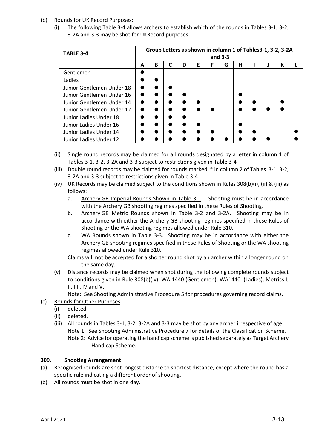- (b) Rounds for UK Record Purposes:
	- (i) The following Table 3-4 allows archers to establish which of the rounds in Tables 3-1, 3-2, 3-2A and 3-3 may be shot for UKRecord purposes.

| <b>TABLE 3-4</b>          |   |   |   |   | and $3-3$ |   |  | Group Letters as shown in column 1 of Tables3-1, 3-2, 3-2A |  |
|---------------------------|---|---|---|---|-----------|---|--|------------------------------------------------------------|--|
|                           | A | В | D | F | G         | н |  | К                                                          |  |
| Gentlemen                 |   |   |   |   |           |   |  |                                                            |  |
| Ladies                    |   |   |   |   |           |   |  |                                                            |  |
| Junior Gentlemen Under 18 |   |   |   |   |           |   |  |                                                            |  |
| Junior Gentlemen Under 16 |   |   |   |   |           |   |  |                                                            |  |
| Junior Gentlemen Under 14 |   |   |   |   |           |   |  |                                                            |  |
| Junior Gentlemen Under 12 |   |   |   |   |           |   |  |                                                            |  |
| Junior Ladies Under 18    |   |   |   |   |           |   |  |                                                            |  |
| Junior Ladies Under 16    |   |   |   |   |           |   |  |                                                            |  |
| Junior Ladies Under 14    |   |   |   |   |           |   |  |                                                            |  |
| Junior Ladies Under 12    |   |   |   |   |           |   |  |                                                            |  |

(ii) Single round records may be claimed for all rounds designated by a letter in column 1 of Tables 3-1, 3-2, 3-2A and 3-3 subject to restrictions given in Table 3-4

- (iii) Double round records may be claimed for rounds marked \* in column 2 of Tables 3-1, 3-2, 3-2A and 3-3 subject to restrictions given in Table 3-4
- (iv) UK Records may be claimed subject to the conditions shown in Rules 308(b)(i), (ii) & (iii) as follows:
	- a. Archery GB Imperial Rounds Shown in Table 3-1. Shooting must be in accordance with the Archery GB shooting regimes specified in these Rules of Shooting.
	- b. Archery GB Metric Rounds shown in Table 3-2 and 3-2A. Shooting may be in accordance with either the Archery GB shooting regimes specified in these Rules of Shooting or the WA shooting regimes allowed under Rule 310.
	- c. WA Rounds shown in Table 3-3. Shooting may be in accordance with either the Archery GB shooting regimes specified in these Rules of Shooting or the WA shooting regimes allowed under Rule 310.

Claims will not be accepted for a shorter round shot by an archer within a longer round on the same day.

(v) Distance records may be claimed when shot during the following complete rounds subject to conditions given in Rule 308(b)(iv): WA 1440 (Gentlemen), WA1440 (Ladies), Metrics I, II, III , IV and V.

Note: See Shooting Administrative Procedure 5 for procedures governing record claims.

- (c) Rounds for Other Purposes
	- (i) deleted
	- (ii) deleted.
	- (iii) All rounds in Tables 3-1, 3-2, 3-2A and 3-3 may be shot by any archer irrespective of age. Note 1: See Shooting Administrative Procedure 7 for details of the Classification Scheme. Note 2: Advice for operating the handicap scheme is published separately as Target Archery Handicap Scheme.

# **309. Shooting Arrangement**

- (a) Recognised rounds are shot longest distance to shortest distance, except where the round has a specific rule indicating a different order of shooting.
- (b) All rounds must be shot in one day.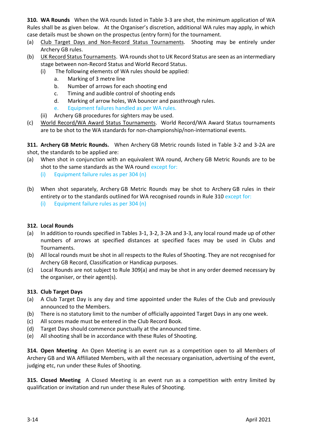**310. WA Rounds** When the WA rounds listed in Table 3-3 are shot, the minimum application of WA Rules shall be as given below. At the Organiser's discretion, additional WA rules may apply, in which case details must be shown on the prospectus (entry form) for the tournament.

- (a) Club Target Days and Non-Record Status Tournaments. Shooting may be entirely under Archery GB rules.
- (b) UK Record Status Tournaments. WA rounds shot to UK Record Status are seen as an intermediary stage between non-Record Status and World Record Status.
	- (i) The following elements of WA rules should be applied:
		- a. Marking of 3 metre line
		- b. Number of arrows for each shooting end
		- c. Timing and audible control of shooting ends
		- d. Marking of arrow holes, WA bouncer and passthrough rules.
		- e. Equipment failures handled as per WA rules.
	- (ii) Archery GB procedures for sighters may be used.
- (c) World Record/WA Award Status Tournaments. World Record/WA Award Status tournaments are to be shot to the WA standards for non-championship/non-international events.

**311. Archery GB Metric Rounds.** When Archery GB Metric rounds listed in Table 3-2 and 3-2A are shot, the standards to be applied are:

- (a) When shot in conjunction with an equivalent WA round, Archery GB Metric Rounds are to be shot to the same standards as the WA round except for:
	- (i) Equipment failure rules as per 304 (n)
- (b) When shot separately, Archery GB Metric Rounds may be shot to Archery GB rules in their entirety or to the standards outlined for WA recognised rounds in Rule 310 except for: (i) Equipment failure rules as per 304 (n)

#### **312. Local Rounds**

- (a) In addition to rounds specified in Tables 3-1, 3-2, 3-2A and 3-3, any local round made up of other numbers of arrows at specified distances at specified faces may be used in Clubs and Tournaments.
- (b) All local rounds must be shot in all respects to the Rules of Shooting. They are not recognised for Archery GB Record, Classification or Handicap purposes.
- (c) Local Rounds are not subject to Rule 309(a) and may be shot in any order deemed necessary by the organiser, or their agent(s).

# **313. Club Target Days**

- (a) A Club Target Day is any day and time appointed under the Rules of the Club and previously announced to the Members.
- (b) There is no statutory limit to the number of officially appointed Target Days in any one week.
- (c) All scores made must be entered in the Club Record Book.
- (d) Target Days should commence punctually at the announced time.
- (e) All shooting shall be in accordance with these Rules of Shooting.

**314. Open Meeting** An Open Meeting is an event run as a competition open to all Members of Archery GB and WA Affiliated Members, with all the necessary organisation, advertising of the event, judging etc, run under these Rules of Shooting.

**315. Closed Meeting** A Closed Meeting is an event run as a competition with entry limited by qualification or invitation and run under these Rules of Shooting.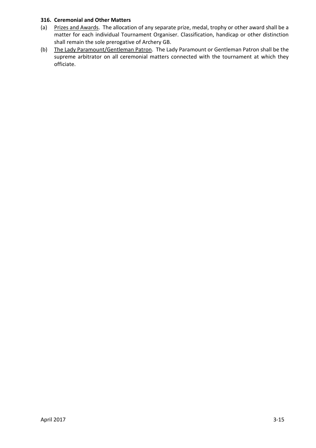# **316. Ceremonial and Other Matters**

- (a) Prizes and Awards. The allocation of any separate prize, medal, trophy or other award shall be a matter for each individual Tournament Organiser. Classification, handicap or other distinction shall remain the sole prerogative of Archery GB.
- (b) The Lady Paramount/Gentleman Patron. The Lady Paramount or Gentleman Patron shall be the supreme arbitrator on all ceremonial matters connected with the tournament at which they officiate.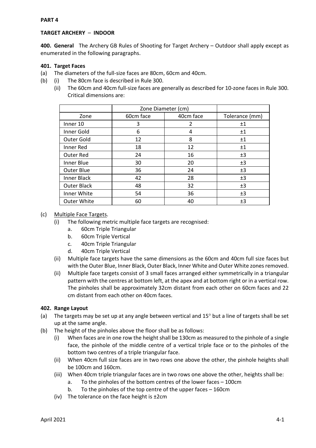# **TARGET ARCHERY** – **INDOOR**

**400. General** The Archery GB Rules of Shooting for Target Archery – Outdoor shall apply except as enumerated in the following paragraphs.

#### **401. Target Faces**

- (a) The diameters of the full-size faces are 80cm, 60cm and 40cm.
- (b) (i) The 80cm face is described in Rule 300.
	- (ii) The 60cm and 40cm full-size faces are generally as described for 10-zone faces in Rule 300. Critical dimensions are:

|                    | Zone Diameter (cm) |                |                |
|--------------------|--------------------|----------------|----------------|
| Zone               | 60cm face          | 40cm face      | Tolerance (mm) |
| Inner 10           | 3                  | $\overline{2}$ | ±1             |
| Inner Gold         | 6                  | 4              | ±1             |
| Outer Gold         | 12                 | 8              | ±1             |
| <b>Inner Red</b>   | 18                 | 12             | ±1             |
| Outer Red          | 24                 | 16             | ±3             |
| Inner Blue         | 30                 | 20             | ±3             |
| Outer Blue         | 36                 | 24             | ±3             |
| <b>Inner Black</b> | 42                 | 28             | ±3             |
| Outer Black        | 48                 | 32             | ±3             |
| Inner White        | 54                 | 36             | ±3             |
| Outer White        | 60                 | 40             | ±3             |

#### (c) Multiple Face Targets.

- (i) The following metric multiple face targets are recognised:
	- a. 60cm Triple Triangular
	- b. 60cm Triple Vertical
	- c. 40cm Triple Triangular
	- d. 40cm Triple Vertical
- (ii) Multiple face targets have the same dimensions as the 60cm and 40cm full size faces but with the Outer Blue, Inner Black, Outer Black, Inner White and Outer White zones removed.
- (ii) Multiple face targets consist of 3 small faces arranged either symmetrically in a triangular pattern with the centres at bottom left, at the apex and at bottom right or in a vertical row. The pinholes shall be approximately 32cm distant from each other on 60cm faces and 22 cm distant from each other on 40cm faces.

#### **402. Range Layout**

- (a) The targets may be set up at any angle between vertical and 15° but a line of targets shall be set up at the same angle.
- (b) The height of the pinholes above the floor shall be as follows:
	- (i) When faces are in one row the height shall be 130cm as measured to the pinhole of a single face, the pinhole of the middle centre of a vertical triple face or to the pinholes of the bottom two centres of a triple triangular face.
	- (ii) When 40cm full size faces are in two rows one above the other, the pinhole heights shall be 100cm and 160cm.
	- (iii) When 40cm triple triangular faces are in two rows one above the other, heights shall be:
		- a. To the pinholes of the bottom centres of the lower faces 100cm
		- b. To the pinholes of the top centre of the upper faces 160cm
	- (iv) The tolerance on the face height is ±2cm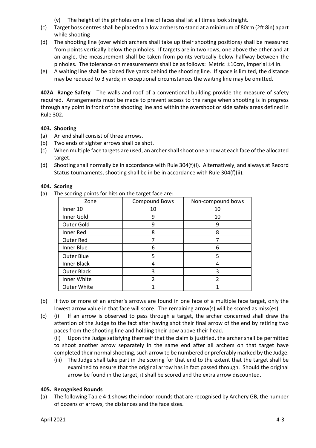- (v) The height of the pinholes on a line of faces shall at all times look straight.
- (c) Target boss centres shall be placed to allow archers to stand at a minimum of 80cm (2ft 8in) apart while shooting
- (d) The shooting line (over which archers shall take up their shooting positions) shall be measured from points vertically below the pinholes. If targets are in two rows, one above the other and at an angle, the measurement shall be taken from points vertically below halfway between the pinholes. The tolerance on measurements shall be as follows: Metric ±10cm, Imperial ±4 in.
- (e) A waiting line shall be placed five yards behind the shooting line. If space is limited, the distance may be reduced to 3 yards; in exceptional circumstances the waiting line may be omitted.

**402A Range Safety** The walls and roof of a conventional building provide the measure of safety required. Arrangements must be made to prevent access to the range when shooting is in progress through any point in front of the shooting line and within the overshoot or side safety areas defined in Rule 302.

# **403. Shooting**

- (a) An end shall consist of three arrows.
- (b) Two ends of sighter arrows shall be shot.
- (c) When multiple face targets are used, an archer shall shoot one arrow at each face of the allocated target.
- (d) Shooting shall normally be in accordance with Rule 304(f)(i). Alternatively, and always at Record Status tournaments, shooting shall be in be in accordance with Rule 304(f)(ii).

# **404. Scoring**

(a) The scoring points for hits on the target face are:

| ິ                  |                      |                   |
|--------------------|----------------------|-------------------|
| Zone               | <b>Compound Bows</b> | Non-compound bows |
| Inner 10           | 10                   | 10                |
| Inner Gold         | 9                    | 10                |
| Outer Gold         | q                    |                   |
| Inner Red          | 8                    | ጸ                 |
| Outer Red          |                      |                   |
| Inner Blue         | 6                    | 6                 |
| Outer Blue         | 5                    |                   |
| <b>Inner Black</b> |                      |                   |
| Outer Black        | 3                    | 3                 |
| Inner White        | 2                    | 2                 |
| Outer White        |                      |                   |

- (b) If two or more of an archer's arrows are found in one face of a multiple face target, only the lowest arrow value in that face will score. The remaining arrow(s) will be scored as miss(es).
- (c) (i) If an arrow is observed to pass through a target, the archer concerned shall draw the attention of the Judge to the fact after having shot their final arrow of the end by retiring two paces from the shooting line and holding their bow above their head.

(ii) Upon the Judge satisfying themself that the claim is justified, the archer shall be permitted to shoot another arrow separately in the same end after all archers on that target have completed their normal shooting, such arrow to be numbered or preferably marked by the Judge.

(iii) The Judge shall take part in the scoring for that end to the extent that the target shall be examined to ensure that the original arrow has in fact passed through. Should the original arrow be found in the target, it shall be scored and the extra arrow discounted.

# **405. Recognised Rounds**

(a) The following Table 4-1 shows the indoor rounds that are recognised by Archery GB, the number of dozens of arrows, the distances and the face sizes.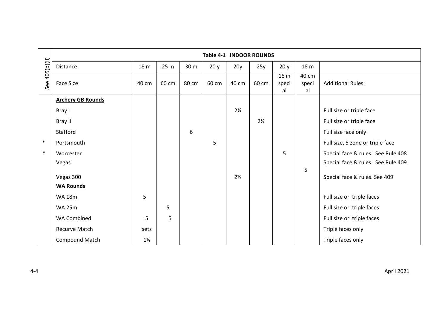|            | Table 4-1 INDOOR ROUNDS  |                |                 |       |       |                |                |                      |                      |                                    |
|------------|--------------------------|----------------|-----------------|-------|-------|----------------|----------------|----------------------|----------------------|------------------------------------|
| 405(b)(ii) | <b>Distance</b>          | 18 m           | 25 <sub>m</sub> | 30 m  | 20y   | 20y            | 25y            | 20y                  | 18 m                 |                                    |
| See        | <b>Face Size</b>         | 40 cm          | 60 cm           | 80 cm | 60 cm | 40 cm          | 60 cm          | 16 in<br>speci<br>al | 40 cm<br>speci<br>al | <b>Additional Rules:</b>           |
|            | <b>Archery GB Rounds</b> |                |                 |       |       |                |                |                      |                      |                                    |
|            | Bray I                   |                |                 |       |       | $2\frac{1}{2}$ |                |                      |                      | Full size or triple face           |
|            | Bray II                  |                |                 |       |       |                | $2\frac{1}{2}$ |                      |                      | Full size or triple face           |
|            | Stafford                 |                |                 | 6     |       |                |                |                      |                      | Full size face only                |
| $\ast$     | Portsmouth               |                |                 |       | 5     |                |                |                      |                      | Full size, 5 zone or triple face   |
| $\ast$     | Worcester                |                |                 |       |       |                |                | 5                    |                      | Special face & rules. See Rule 408 |
|            | Vegas                    |                |                 |       |       |                |                |                      |                      | Special face & rules. See Rule 409 |
|            | Vegas 300                |                |                 |       |       | $2\frac{1}{2}$ |                |                      | 5                    | Special face & rules. See 409      |
|            | <b>WA Rounds</b>         |                |                 |       |       |                |                |                      |                      |                                    |
|            | <b>WA 18m</b>            | 5              |                 |       |       |                |                |                      |                      | Full size or triple faces          |
|            | <b>WA 25m</b>            |                | 5               |       |       |                |                |                      |                      | Full size or triple faces          |
|            | <b>WA Combined</b>       | 5              | 5               |       |       |                |                |                      |                      | Full size or triple faces          |
|            | <b>Recurve Match</b>     | sets           |                 |       |       |                |                |                      |                      | Triple faces only                  |
|            | Compound Match           | $1\frac{1}{4}$ |                 |       |       |                |                |                      |                      | Triple faces only                  |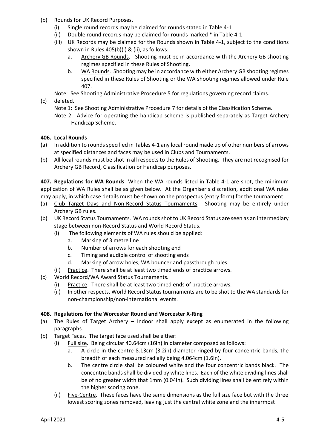- (b) Rounds for UK Record Purposes.
	- (i) Single round records may be claimed for rounds stated in Table 4-1
	- (ii) Double round records may be claimed for rounds marked \* in Table 4-1
	- (iii) UK Records may be claimed for the Rounds shown in Table 4-1, subject to the conditions shown in Rules 405(b)(i) & (ii), as follows:
		- a. Archery GB Rounds. Shooting must be in accordance with the Archery GB shooting regimes specified in these Rules of Shooting.
		- b. WA Rounds. Shooting may be in accordance with either Archery GB shooting regimes specified in these Rules of Shooting or the WA shooting regimes allowed under Rule 407.
	- Note: See Shooting Administrative Procedure 5 for regulations governing record claims.
- (c) deleted.
	- Note 1: See Shooting Administrative Procedure 7 for details of the Classification Scheme.
	- Note 2: Advice for operating the handicap scheme is published separately as Target Archery Handicap Scheme.

# **406. Local Rounds**

- (a) In addition to rounds specified in Tables 4-1 any local round made up of other numbers of arrows at specified distances and faces may be used in Clubs and Tournaments.
- (b) All local rounds must be shot in all respects to the Rules of Shooting. They are not recognised for Archery GB Record, Classification or Handicap purposes.

**407. Regulations for WA Rounds** When the WA rounds listed in Table 4-1 are shot, the minimum application of WA Rules shall be as given below. At the Organiser's discretion, additional WA rules may apply, in which case details must be shown on the prospectus (entry form) for the tournament.

- (a) Club Target Days and Non-Record Status Tournaments. Shooting may be entirely under Archery GB rules.
- (b) UK Record Status Tournaments. WA rounds shot to UK Record Status are seen as an intermediary stage between non-Record Status and World Record Status.
	- (i) The following elements of WA rules should be applied:
		- a. Marking of 3 metre line
		- b. Number of arrows for each shooting end
		- c. Timing and audible control of shooting ends
		- d. Marking of arrow holes, WA bouncer and passthrough rules.
	- (ii) Practice. There shall be at least two timed ends of practice arrows.
- (c) World Record/WA Award Status Tournaments.
	- (i) Practice. There shall be at least two timed ends of practice arrows.
	- (ii) In other respects, World Record Status tournaments are to be shot to the WA standards for non-championship/non-international events.

## **408. Regulations for the Worcester Round and Worcester X-Ring**

- (a) The Rules of Target Archery Indoor shall apply except as enumerated in the following paragraphs.
- (b) Target Faces. The target face used shall be either:
	- (i) Full size. Being circular 40.64cm (16in) in diameter composed as follows:
		- a. A circle in the centre 8.13cm (3.2in) diameter ringed by four concentric bands, the breadth of each measured radially being 4.064cm (1.6in).
		- b. The centre circle shall be coloured white and the four concentric bands black. The concentric bands shall be divided by white lines. Each of the white dividing lines shall be of no greater width that 1mm (0.04in). Such dividing lines shall be entirely within the higher scoring zone.
	- (ii) Five-Centre. These faces have the same dimensions as the full size face but with the three lowest scoring zones removed, leaving just the central white zone and the innermost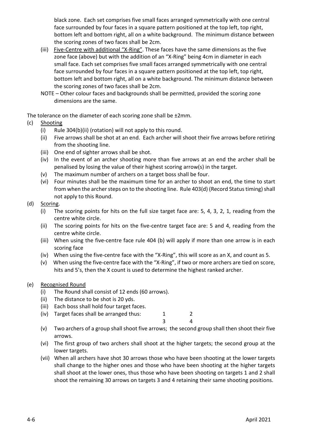black zone. Each set comprises five small faces arranged symmetrically with one central face surrounded by four faces in a square pattern positioned at the top left, top right, bottom left and bottom right, all on a white background. The minimum distance between the scoring zones of two faces shall be 2cm.

- (iii) Five-Centre with additional "X-Ring". These faces have the same dimensions as the five zone face (above) but with the addition of an "X-Ring" being 4cm in diameter in each small face. Each set comprises five small faces arranged symmetrically with one central face surrounded by four faces in a square pattern positioned at the top left, top right, bottom left and bottom right, all on a white background. The minimum distance between the scoring zones of two faces shall be 2cm.
- NOTE Other colour faces and backgrounds shall be permitted, provided the scoring zone dimensions are the same.

The tolerance on the diameter of each scoring zone shall be ±2mm.

# (c) Shooting

- (i) Rule 304(b)(ii) (rotation) will not apply to this round.
- (ii) Five arrows shall be shot at an end. Each archer will shoot their five arrows before retiring from the shooting line.
- (iii) One end of sighter arrows shall be shot.
- (iv) In the event of an archer shooting more than five arrows at an end the archer shall be penalised by losing the value of their highest scoring arrow(s) in the target.
- (v) The maximum number of archers on a target boss shall be four.
- (vi) Four minutes shall be the maximum time for an archer to shoot an end, the time to start from when the archer steps on to the shooting line. Rule 403(d) (Record Status timing) shall not apply to this Round.

## (d) Scoring.

- (i) The scoring points for hits on the full size target face are: 5, 4, 3, 2, 1, reading from the centre white circle.
- (ii) The scoring points for hits on the five-centre target face are: 5 and 4, reading from the centre white circle.
- (iii) When using the five-centre face rule 404 (b) will apply if more than one arrow is in each scoring face
- (iv) When using the five-centre face with the "X-Ring", this will score as an X, and count as 5.
- (v) When using the five-centre face with the "X-Ring", if two or more archers are tied on score, hits and 5's, then the X count is used to determine the highest ranked archer.

## (e) Recognised Round

- (i) The Round shall consist of 12 ends (60 arrows).
- (ii) The distance to be shot is 20 yds.
- (iii) Each boss shall hold four target faces.
- (iv) Target faces shall be arranged thus: 1 2

3 4

- (v) Two archers of a group shall shoot five arrows; the second group shall then shoot their five arrows.
- (vi) The first group of two archers shall shoot at the higher targets; the second group at the lower targets.
- (vii) When all archers have shot 30 arrows those who have been shooting at the lower targets shall change to the higher ones and those who have been shooting at the higher targets shall shoot at the lower ones, thus those who have been shooting on targets 1 and 2 shall shoot the remaining 30 arrows on targets 3 and 4 retaining their same shooting positions.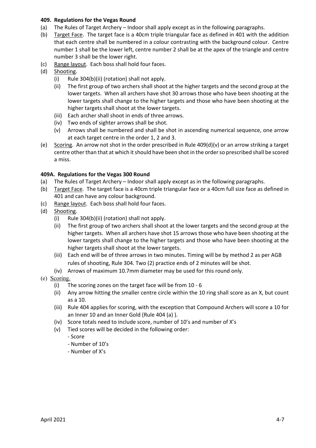### **409. Regulations for the Vegas Round**

- (a) The Rules of Target Archery Indoor shall apply except as in the following paragraphs.
- (b) Target Face. The target face is a 40cm triple triangular face as defined in 401 with the addition that each centre shall be numbered in a colour contrasting with the background colour. Centre number 1 shall be the lower left, centre number 2 shall be at the apex of the triangle and centre number 3 shall be the lower right.
- (c) Range layout. Each boss shall hold four faces.
- (d) Shooting.
	- (i) Rule 304(b)(ii) (rotation) shall not apply.
	- (ii) The first group of two archers shall shoot at the higher targets and the second group at the lower targets. When all archers have shot 30 arrows those who have been shooting at the lower targets shall change to the higher targets and those who have been shooting at the higher targets shall shoot at the lower targets.
	- (iii) Each archer shall shoot in ends of three arrows.
	- (iv) Two ends of sighter arrows shall be shot.
	- (v) Arrows shall be numbered and shall be shot in ascending numerical sequence, one arrow at each target centre in the order 1, 2 and 3.
- (e) Scoring. An arrow not shot in the order prescribed in Rule 409(d)(v) or an arrow striking a target centre other than that at which it should have been shot in the order so prescribed shall be scored a miss.

## **409A. Regulations for the Vegas 300 Round**

- (a) The Rules of Target Archery Indoor shall apply except as in the following paragraphs.
- (b) Target Face. The target face is a 40cm triple triangular face or a 40cm full size face as defined in 401 and can have any colour background.
- (c) Range layout. Each boss shall hold four faces.
- (d) Shooting.
	- (i) Rule 304(b)(ii) (rotation) shall not apply.
	- (ii) The first group of two archers shall shoot at the lower targets and the second group at the higher targets. When all archers have shot 15 arrows those who have been shooting at the lower targets shall change to the higher targets and those who have been shooting at the higher targets shall shoot at the lower targets.
	- (iii) Each end will be of three arrows in two minutes. Timing will be by method 2 as per AGB rules of shooting, Rule 304. Two (2) practice ends of 2 minutes will be shot.
	- (iv) Arrows of maximum 10.7mm diameter may be used for this round only.
- (e) Scoring.
	- (i) The scoring zones on the target face will be from 10 6
	- (ii) Any arrow hitting the smaller centre circle within the 10 ring shall score as an X, but count as a 10.
	- (iii) Rule 404 applies for scoring, with the exception that Compound Archers will score a 10 for an Inner 10 and an Inner Gold (Rule 404 (a) ).
	- (iv) Score totals need to include score, number of 10's and number of X's
	- (v) Tied scores will be decided in the following order:
		- Score
		- Number of 10's
		- Number of X's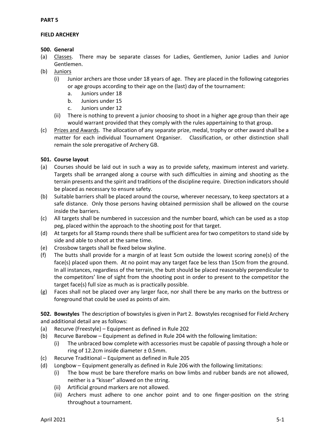# **FIELD ARCHERY**

### **500. General**

- (a) Classes. There may be separate classes for Ladies, Gentlemen, Junior Ladies and Junior Gentlemen.
- (b) Juniors
	- (i) Junior archers are those under 18 years of age. They are placed in the following categories or age groups according to their age on the (last) day of the tournament:
		- a. Juniors under 18
		- b. Juniors under 15
		- c. Juniors under 12
	- (ii) There is nothing to prevent a junior choosing to shoot in a higher age group than their age would warrant provided that they comply with the rules appertaining to that group.
- (c) Prizes and Awards. The allocation of any separate prize, medal, trophy or other award shall be a matter for each individual Tournament Organiser. Classification, or other distinction shall remain the sole prerogative of Archery GB.

### **501. Course layout**

- (a) Courses should be laid out in such a way as to provide safety, maximum interest and variety. Targets shall be arranged along a course with such difficulties in aiming and shooting as the terrain presents and the spirit and traditions of the discipline require. Direction indicators should be placed as necessary to ensure safety.
- (b) Suitable barriers shall be placed around the course, wherever necessary, to keep spectators at a safe distance. Only those persons having obtained permission shall be allowed on the course inside the barriers.
- (c) All targets shall be numbered in succession and the number board, which can be used as a stop peg, placed within the approach to the shooting post for that target.
- (d) At targets for all Stamp rounds there shall be sufficient area for two competitors to stand side by side and able to shoot at the same time.
- (e) Crossbow targets shall be fixed below skyline.
- (f) The butts shall provide for a margin of at least 5cm outside the lowest scoring zone(s) of the face(s) placed upon them. At no point may any target face be less than 15cm from the ground. In all instances, regardless of the terrain, the butt should be placed reasonably perpendicular to the competitors' line of sight from the shooting post in order to present to the competitor the target face(s) full size as much as is practically possible.
- (g) Faces shall not be placed over any larger face, nor shall there be any marks on the buttress or foreground that could be used as points of aim.

**502. Bowstyles** The description of bowstyles is given in Part 2. Bowstyles recognised for Field Archery and additional detail are as follows:

- (a) Recurve (Freestyle) Equipment as defined in Rule 202
- (b) Recurve Barebow Equipment as defined in Rule 204 with the following limitation:
	- (i) The unbraced bow complete with accessories must be capable of passing through a hole or ring of 12.2cm inside diameter ± 0.5mm.
- (c) Recurve Traditional Equipment as defined in Rule 205
- (d) Longbow Equipment generally as defined in Rule 206 with the following limitations:
	- (i) The bow must be bare therefore marks on bow limbs and rubber bands are not allowed, neither is a "kisser" allowed on the string.
	- (ii) Artificial ground markers are not allowed.
	- (iii) Archers must adhere to one anchor point and to one finger-position on the string throughout a tournament.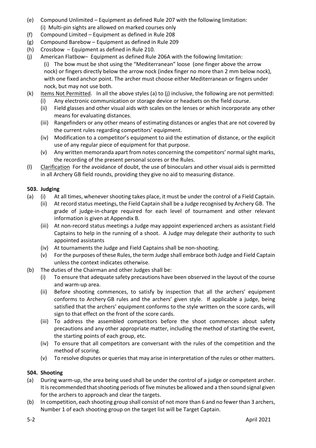- (e) Compound Unlimited Equipment as defined Rule 207 with the following limitation: (i) Multi-pin sights are allowed on marked courses only
- (f) Compound Limited Equipment as defined in Rule 208
- (g) Compound Barebow Equipment as defined in Rule 209
- (h) Crossbow Equipment as defined in Rule 210.
- (j) American Flatbow– Equipment as defined Rule 206A with the following limitation: (i) The bow must be shot using the "Mediterranean" loose (one finger above the arrow nock) or fingers directly below the arrow nock (index finger no more than 2 mm below nock), with one fixed anchor point. The archer must choose either Mediterranean or fingers under nock, but may not use both.
- (k) Items Not Permitted. In all the above styles (a) to (j) inclusive, the following are not permitted:
	- (i) Any electronic communication or storage device or headsets on the field course.
	- (ii) Field glasses and other visual aids with scales on the lenses or which incorporate any other means for evaluating distances.
	- (iii) Rangefinders or any other means of estimating distances or angles that are not covered by the current rules regarding competitors' equipment.
	- (iv) Modification to a competitor's equipment to aid the estimation of distance, or the explicit use of any regular piece of equipment for that purpose.
	- (v) Any written memoranda apart from notes concerning the competitors' normal sight marks, the recording of the present personal scores or the Rules.
- (l) Clarification For the avoidance of doubt, the use of binoculars and other visual aids is permitted in all Archery GB field rounds, providing they give no aid to measuring distance.

# **503. Judging**

- (a) (i) At all times, whenever shooting takes place, it must be under the control of a Field Captain.
	- (ii) At record status meetings, the Field Captain shall be a Judge recognised by Archery GB. The grade of judge-in-charge required for each level of tournament and other relevant information is given at Appendix B.
	- (iii) At non-record status meetings a Judge may appoint experienced archers as assistant Field Captains to help in the running of a shoot. A Judge may delegate their authority to such appointed assistants
	- (iv) At tournaments the Judge and Field Captains shall be non-shooting.
	- (v) For the purposes of these Rules, the term Judge shall embrace both Judge and Field Captain unless the context indicates otherwise.
- (b) The duties of the Chairman and other Judges shall be:
	- (i) To ensure that adequate safety precautions have been observed in the layout of the course and warm-up area.
	- (ii) Before shooting commences, to satisfy by inspection that all the archers' equipment conforms to Archery GB rules and the archers' given style. If applicable a judge, being satisfied that the archers' equipment conforms to the style written on the score cards, will sign to that effect on the front of the score cards.
	- (iii) To address the assembled competitors before the shoot commences about safety precautions and any other appropriate matter, including the method of starting the event, the starting points of each group, etc.
	- (iv) To ensure that all competitors are conversant with the rules of the competition and the method of scoring.
	- (v) To resolve disputes or queries that may arise in interpretation of the rules or other matters.

# **504. Shooting**

- (a) During warm-up, the area being used shall be under the control of a judge or competent archer. It is recommended that shooting periods of five minutes be allowed and a then sound signal given for the archers to approach and clear the targets.
- (b) In competition, each shooting group shall consist of not more than 6 and no fewer than 3 archers, Number 1 of each shooting group on the target list will be Target Captain.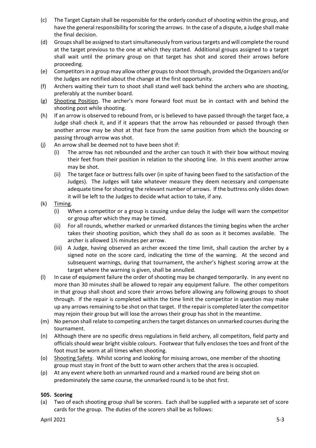- (c) The Target Captain shall be responsible for the orderly conduct of shooting within the group, and have the general responsibility for scoring the arrows. In the case of a dispute, a Judge shall make the final decision.
- (d) Groups shall be assigned to start simultaneously from various targets and will complete the round at the target previous to the one at which they started. Additional groups assigned to a target shall wait until the primary group on that target has shot and scored their arrows before proceeding.
- (e) Competitors in a group may allow other groups to shoot through, provided the Organizers and/or the Judges are notified about the change at the first opportunity.
- (f) Archers waiting their turn to shoot shall stand well back behind the archers who are shooting, preferably at the number board.
- (g) Shooting Position. The archer's more forward foot must be in contact with and behind the shooting post while shooting.
- (h) If an arrow is observed to rebound from, or is believed to have passed through the target face, a Judge shall check it, and if it appears that the arrow has rebounded or passed through then another arrow may be shot at that face from the same position from which the bouncing or passing through arrow was shot.
- (j) An arrow shall be deemed not to have been shot if:
	- (i) The arrow has not rebounded and the archer can touch it with their bow without moving their feet from their position in relation to the shooting line. In this event another arrow may be shot.
	- (ii) The target face or buttress falls over (in spite of having been fixed to the satisfaction of the Judges). The Judges will take whatever measure they deem necessary and compensate adequate time for shooting the relevant number of arrows. If the buttress only slides down it will be left to the Judges to decide what action to take, if any.
- (k) Timing.
	- (i) When a competitor or a group is causing undue delay the Judge will warn the competitor or group after which they may be timed.
	- (ii) For all rounds, whether marked or unmarked distances the timing begins when the archer takes their shooting position, which they shall do as soon as it becomes available. The archer is allowed 1½ minutes per arrow.
	- (iii) A Judge, having observed an archer exceed the time limit, shall caution the archer by a signed note on the score card, indicating the time of the warning. At the second and subsequent warnings, during that tournament, the archer's highest scoring arrow at the target where the warning is given, shall be annulled.
- (l) In case of equipment failure the order of shooting may be changed temporarily. In any event no more than 30 minutes shall be allowed to repair any equipment failure. The other competitors in that group shall shoot and score their arrows before allowing any following groups to shoot through. If the repair is completed within the time limit the competitor in question may make up any arrows remaining to be shot on that target. If the repair is completed later the competitor may rejoin their group but will lose the arrows their group has shot in the meantime.
- (m) No person shall relate to competing archers the target distances on unmarked courses during the tournament.
- (n) Although there are no specific dress regulations in field archery, all competitors, field party and officials should wear bright visible colours. Footwear that fully encloses the toes and front of the foot must be worn at all times when shooting.
- (o) Shooting Safety. Whilst scoring and looking for missing arrows, one member of the shooting group must stay in front of the butt to warn other archers that the area is occupied.
- (p) At any event where both an unmarked round and a marked round are being shot on predominately the same course, the unmarked round is to be shot first.

# **505. Scoring**

(a) Two of each shooting group shall be scorers. Each shall be supplied with a separate set of score cards for the group. The duties of the scorers shall be as follows: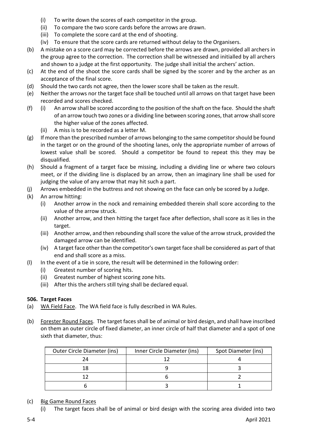- (i) To write down the scores of each competitor in the group.
- (ii) To compare the two score cards before the arrows are drawn.
- (iii) To complete the score card at the end of shooting.
- (iv) To ensure that the score cards are returned without delay to the Organisers.
- (b) A mistake on a score card may be corrected before the arrows are drawn, provided all archers in the group agree to the correction. The correction shall be witnessed and initialled by all archers and shown to a judge at the first opportunity. The judge shall initial the archers' action.
- (c) At the end of the shoot the score cards shall be signed by the scorer and by the archer as an acceptance of the final score.
- (d) Should the two cards not agree, then the lower score shall be taken as the result.
- (e) Neither the arrows nor the target face shall be touched until all arrows on that target have been recorded and scores checked.
- (f) (i) An arrow shall be scored according to the position of the shaft on the face. Should the shaft of an arrow touch two zones or a dividing line between scoring zones, that arrow shall score the higher value of the zones affected.
	- (ii) A miss is to be recorded as a letter M.
- (g) If more than the prescribed number of arrows belonging to the same competitor should be found in the target or on the ground of the shooting lanes, only the appropriate number of arrows of lowest value shall be scored. Should a competitor be found to repeat this they may be disqualified.
- (h) Should a fragment of a target face be missing, including a dividing line or where two colours meet, or if the dividing line is displaced by an arrow, then an imaginary line shall be used for judging the value of any arrow that may hit such a part.
- (j) Arrows embedded in the buttress and not showing on the face can only be scored by a Judge.
- (k) An arrow hitting:
	- (i) Another arrow in the nock and remaining embedded therein shall score according to the value of the arrow struck.
	- (ii) Another arrow, and then hitting the target face after deflection, shall score as it lies in the target.
	- (iii) Another arrow, and then rebounding shall score the value of the arrow struck, provided the damaged arrow can be identified.
	- (iv) A target face other than the competitor's own target face shall be considered as part of that end and shall score as a miss.
- (l) In the event of a tie in score, the result will be determined in the following order:
	- (i) Greatest number of scoring hits.
	- (ii) Greatest number of highest scoring zone hits.
	- (iii) After this the archers still tying shall be declared equal.

## **506. Target Faces**

- (a) WA Field Face. The WA field face is fully described in WA Rules.
- (b) Forester Round Faces. The target faces shall be of animal or bird design, and shall have inscribed on them an outer circle of fixed diameter, an inner circle of half that diameter and a spot of one sixth that diameter, thus:

| Outer Circle Diameter (ins) | Inner Circle Diameter (ins) | Spot Diameter (ins) |
|-----------------------------|-----------------------------|---------------------|
|                             |                             |                     |
|                             |                             |                     |
|                             |                             |                     |
|                             |                             |                     |

## (c) Big Game Round Faces

(i) The target faces shall be of animal or bird design with the scoring area divided into two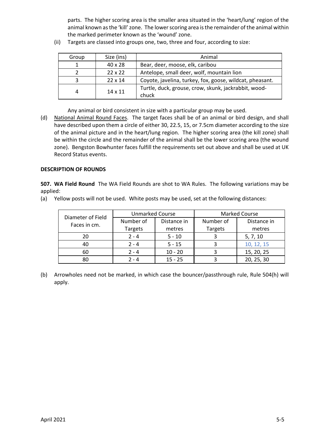parts. The higher scoring area is the smaller area situated in the 'heart/lung' region of the animal known as the 'kill' zone. The lower scoring area is the remainder of the animal within the marked perimeter known as the 'wound' zone.

| Group | Size (ins)     | Animal                                                        |
|-------|----------------|---------------------------------------------------------------|
|       | 40 x 28        | Bear, deer, moose, elk, caribou                               |
|       | $22 \times 22$ | Antelope, small deer, wolf, mountain lion                     |
|       | $22 \times 14$ | Coyote, javelina, turkey, fox, goose, wildcat, pheasant.      |
| 4     | 14 x 11        | Turtle, duck, grouse, crow, skunk, jackrabbit, wood-<br>chuck |

(ii) Targets are classed into groups one, two, three and four, according to size:

Any animal or bird consistent in size with a particular group may be used.

(d) National Animal Round Faces. The target faces shall be of an animal or bird design, and shall have described upon them a circle of either 30, 22.5, 15, or 7.5cm diameter according to the size of the animal picture and in the heart/lung region. The higher scoring area (the kill zone) shall be within the circle and the remainder of the animal shall be the lower scoring area (the wound zone). Bengston Bowhunter faces fulfill the requirements set out above and shall be used at UK Record Status events.

#### **DESCRIPTION OF ROUNDS**

**507. WA Field Round** The WA Field Rounds are shot to WA Rules. The following variations may be applied:

| Diameter of Field<br>Faces in cm. | <b>Unmarked Course</b> |             | <b>Marked Course</b> |             |  |
|-----------------------------------|------------------------|-------------|----------------------|-------------|--|
|                                   | Number of              | Distance in | Number of            | Distance in |  |
|                                   | Targets                | metres      | Targets              | metres      |  |
| 20                                | $2 - 4$                | $5 - 10$    |                      | 5, 7, 10    |  |
| 40                                | $2 - 4$                | $5 - 15$    |                      | 10, 12, 15  |  |
| 60                                | $2 - 4$                | $10 - 20$   |                      | 15, 20, 25  |  |
| 80                                | 2 - 4                  | $15 - 25$   |                      | 20, 25, 30  |  |

(a) Yellow posts will not be used. White posts may be used, set at the following distances:

(b) Arrowholes need not be marked, in which case the bouncer/passthrough rule, Rule 504(h) will apply.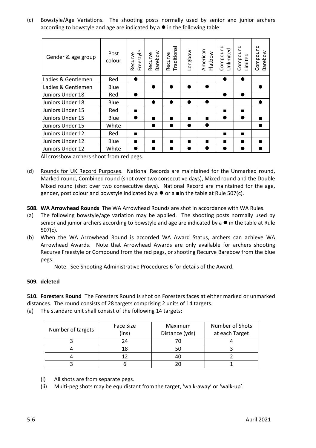(c) Bowstyle/Age Variations. The shooting posts normally used by senior and junior archers according to bowstyle and age are indicated by a  $\bullet$  in the following table:

| Gender & age group | Post<br>colour | Freestyle<br>Recurve | Barebow<br>Recurve | Traditiona<br>Recurve | moughon | American<br>Flatbow | Compound<br>Unlimited | Compound<br>Limited | Compound<br>Barebow |
|--------------------|----------------|----------------------|--------------------|-----------------------|---------|---------------------|-----------------------|---------------------|---------------------|
| Ladies & Gentlemen | Red            |                      |                    |                       |         |                     |                       |                     |                     |
| Ladies & Gentlemen | Blue           |                      | ●                  |                       |         |                     |                       |                     |                     |
| Juniors Under 18   | Red            |                      |                    |                       |         |                     |                       |                     |                     |
| Juniors Under 18   | Blue           |                      | ●                  |                       |         |                     |                       |                     |                     |
| Juniors Under 15   | Red            | п                    |                    |                       |         |                     |                       | п                   |                     |
| Juniors Under 15   | Blue           |                      | п                  | ■                     | ■       | ■                   |                       | ●                   |                     |
| Juniors Under 15   | White          |                      | a                  |                       |         |                     |                       |                     |                     |
| Juniors Under 12   | Red            | п                    |                    |                       |         |                     |                       |                     |                     |
| Juniors Under 12   | Blue           | ■                    |                    | ■                     | ■       | ■                   |                       | ▪                   |                     |
| Juniors Under 12   | White          |                      |                    |                       |         |                     |                       |                     |                     |

All crossbow archers shoot from red pegs.

- (d) Rounds for UK Record Purposes. National Records are maintained for the Unmarked round, Marked round, Combined round (shot over two consecutive days), Mixed round and the Double Mixed round (shot over two consecutive days). National Record are maintained for the age, gender, post colour and bowstyle indicated by a  $\bullet$  or a  $\bullet$  in the table at Rule 507(c).
- **508. WA Arrowhead Rounds** The WA Arrowhead Rounds are shot in accordance with WA Rules.
- (a) The following bowstyle/age variation may be applied. The shooting posts normally used by senior and junior archers according to bowstyle and age are indicated by a  $\bullet$  in the table at Rule 507(c).
- (b) When the WA Arrowhead Round is accorded WA Award Status, archers can achieve WA Arrowhead Awards. Note that Arrowhead Awards are only available for archers shooting Recurve Freestyle or Compound from the red pegs, or shooting Recurve Barebow from the blue pegs.

Note. See Shooting Administrative Procedures 6 for details of the Award.

## **509. deleted**

**510. Foresters Round** The Foresters Round is shot on Foresters faces at either marked or unmarked distances. The round consists of 28 targets comprising 2 units of 14 targets.

(a) The standard unit shall consist of the following 14 targets:

| Number of targets | Face Size<br>(ins) | Maximum<br>Distance (yds) | Number of Shots<br>at each Target |
|-------------------|--------------------|---------------------------|-----------------------------------|
|                   | 24                 |                           |                                   |
|                   | 18                 | 50                        |                                   |
|                   |                    |                           |                                   |
|                   |                    |                           |                                   |

- (i) All shots are from separate pegs.
- (ii) Multi-peg shots may be equidistant from the target, 'walk-away' or 'walk-up'.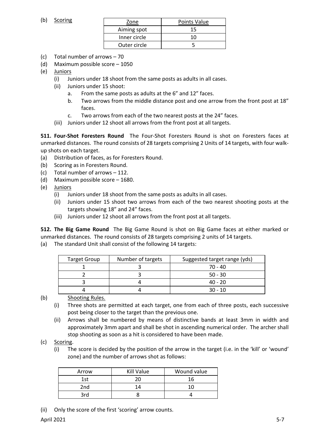(b) Scoring

| Zone         | Points Value |
|--------------|--------------|
| Aiming spot  | 15           |
| Inner circle | 10           |
| Outer circle |              |

- (c) Total number of arrows 70
- (d) Maximum possible score 1050
- (e) Juniors
	- (i) Juniors under 18 shoot from the same posts as adults in all cases.
	- (ii) Juniors under 15 shoot:
		- a. From the same posts as adults at the 6" and 12" faces.
		- b. Two arrows from the middle distance post and one arrow from the front post at 18" faces.
		- c. Two arrows from each of the two nearest posts at the 24" faces.
	- (iii) Juniors under 12 shoot all arrows from the front post at all targets.

**511. Four-Shot Foresters Round** The Four-Shot Foresters Round is shot on Foresters faces at unmarked distances. The round consists of 28 targets comprising 2 Units of 14 targets, with four walkup shots on each target.

- (a) Distribution of faces, as for Foresters Round.
- (b) Scoring as in Foresters Round.
- (c) Total number of arrows 112.
- (d) Maximum possible score 1680.
- (e) Juniors
	- (i) Juniors under 18 shoot from the same posts as adults in all cases.
	- (ii) Juniors under 15 shoot two arrows from each of the two nearest shooting posts at the targets showing 18" and 24" faces.
	- (iii) Juniors under 12 shoot all arrows from the front post at all targets.

**512. The Big Game Round** The Big Game Round is shot on Big Game faces at either marked or unmarked distances. The round consists of 28 targets comprising 2 units of 14 targets.

(a) The standard Unit shall consist of the following 14 targets:

| <b>Target Group</b> | Number of targets | Suggested target range (yds) |
|---------------------|-------------------|------------------------------|
|                     |                   | $70 - 40$                    |
|                     |                   | $50 - 30$                    |
|                     |                   | $40 - 20$                    |
|                     |                   | $30 - 10$                    |

(b) Shooting Rules.

- (i) Three shots are permitted at each target, one from each of three posts, each successive post being closer to the target than the previous one.
- (ii) Arrows shall be numbered by means of distinctive bands at least 3mm in width and approximately 3mm apart and shall be shot in ascending numerical order. The archer shall stop shooting as soon as a hit is considered to have been made.
- (c) Scoring.
	- (i) The score is decided by the position of the arrow in the target (i.e. in the 'kill' or 'wound' zone) and the number of arrows shot as follows:

| Arrow | Kill Value | Wound value |
|-------|------------|-------------|
| 1st   |            |             |
| 2nd   | 1Δ         |             |
| 3rd   |            |             |

(ii) Only the score of the first 'scoring' arrow counts.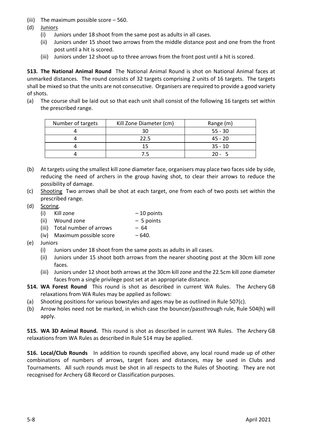- (iii) The maximum possible score 560.
- (d) Juniors
	- (i) Juniors under 18 shoot from the same post as adults in all cases.
	- (ii) Juniors under 15 shoot two arrows from the middle distance post and one from the front post until a hit is scored.
	- (iii) Juniors under 12 shoot up to three arrows from the front post until a hit is scored.

**513. The National Animal Round** The National Animal Round is shot on National Animal faces at unmarked distances. The round consists of 32 targets comprising 2 units of 16 targets. The targets shall be mixed so that the units are not consecutive. Organisers are required to provide a good variety of shots.

(a) The course shall be laid out so that each unit shall consist of the following 16 targets set within the prescribed range.

| Number of targets | Kill Zone Diameter (cm) | Range (m) |
|-------------------|-------------------------|-----------|
|                   | จก                      | $55 - 30$ |
|                   | 22.5                    | $45 - 20$ |
|                   |                         | $35 - 10$ |
|                   | 7.5                     | $20 - 5$  |

- (b) At targets using the smallest kill zone diameter face, organisers may place two faces side by side, reducing the need of archers in the group having shot, to clear their arrows to reduce the possibility of damage.
- (c) Shooting Two arrows shall be shot at each target, one from each of two posts set within the prescribed range.
- (d) Scoring.
	- (i) Kill zone 10 points
	- (ii) Wound zone 5 points
	- (iii) Total number of arrows 64
	- (iv) Maximum possible score 640.
- (e) Juniors
	- (i) Juniors under 18 shoot from the same posts as adults in all cases.
	- (ii) Juniors under 15 shoot both arrows from the nearer shooting post at the 30cm kill zone faces.
	- (iii) Juniors under 12 shoot both arrows at the 30cm kill zone and the 22.5cm kill zone diameter faces from a single privilege post set at an appropriate distance.
- **514. WA Forest Round** This round is shot as described in current WA Rules. The Archery GB relaxations from WA Rules may be applied as follows:
- (a) Shooting positions for various bowstyles and ages may be as outlined in Rule 507(c).
- (b) Arrow holes need not be marked, in which case the bouncer/passthrough rule, Rule 504(h) will apply.

**515. WA 3D Animal Round.** This round is shot as described in current WA Rules. The Archery GB relaxations from WA Rules as described in Rule 514 may be applied.

**516. Local/Club Rounds** In addition to rounds specified above, any local round made up of other combinations of numbers of arrows, target faces and distances, may be used in Clubs and Tournaments. All such rounds must be shot in all respects to the Rules of Shooting. They are not recognised for Archery GB Record or Classification purposes.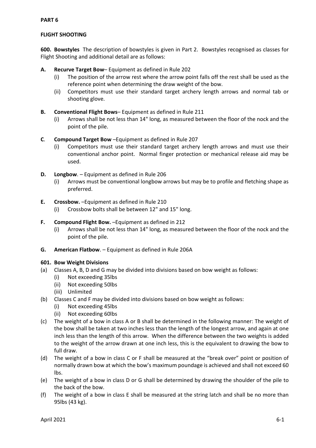# **FLIGHT SHOOTING**

**600. Bowstyles** The description of bowstyles is given in Part 2. Bowstyles recognised as classes for Flight Shooting and additional detail are as follows:

## **A. Recurve Target Bow**– Equipment as defined in Rule 202

- (i) The position of the arrow rest where the arrow point falls off the rest shall be used as the reference point when determining the draw weight of the bow.
- (ii) Competitors must use their standard target archery length arrows and normal tab or shooting glove.

### **B. Conventional Flight Bows**– Equipment as defined in Rule 211

(i) Arrows shall be not less than 14" long, as measured between the floor of the nock and the point of the pile.

### **C**. **Compound Target Bow** –Equipment as defined in Rule 207

- (i) Competitors must use their standard target archery length arrows and must use their conventional anchor point. Normal finger protection or mechanical release aid may be used.
- **D. Longbow**. Equipment as defined in Rule 206
	- (i) Arrows must be conventional longbow arrows but may be to profile and fletching shape as preferred.
- **E. Crossbow.** –Equipment as defined in Rule 210
	- (i) Crossbow bolts shall be between 12" and 15" long.

### **F. Compound Flight Bow.** –Equipment as defined in 212

- (i) Arrows shall be not less than 14" long, as measured between the floor of the nock and the point of the pile.
- **G. American Flatbow**. Equipment as defined in Rule 206A

#### **601. Bow Weight Divisions**

- (a) Classes A, B, D and G may be divided into divisions based on bow weight as follows:
	- (i) Not exceeding 35lbs
	- (ii) Not exceeding 50lbs
	- (iii) Unlimited
- (b) Classes C and F may be divided into divisions based on bow weight as follows:
	- (i) Not exceeding 45lbs
	- (ii) Not exceeding 60lbs
- (c) The weight of a bow in class A or B shall be determined in the following manner: The weight of the bow shall be taken at two inches less than the length of the longest arrow, and again at one inch less than the length of this arrow. When the difference between the two weights is added to the weight of the arrow drawn at one inch less, this is the equivalent to drawing the bow to full draw.
- (d) The weight of a bow in class C or F shall be measured at the "break over" point or position of normally drawn bow at which the bow's maximum poundage is achieved and shall not exceed 60 lbs.
- (e) The weight of a bow in class D or G shall be determined by drawing the shoulder of the pile to the back of the bow.
- (f) The weight of a bow in class E shall be measured at the string latch and shall be no more than 95lbs (43 kg).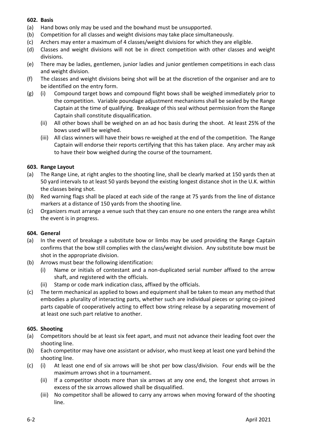## **602. Basis**

- (a) Hand bows only may be used and the bowhand must be unsupported.
- (b) Competition for all classes and weight divisions may take place simultaneously.
- (c) Archers may enter a maximum of 4 classes/weight divisions for which they are eligible.
- (d) Classes and weight divisions will not be in direct competition with other classes and weight divisions.
- (e) There may be ladies, gentlemen, junior ladies and junior gentlemen competitions in each class and weight division.
- (f) The classes and weight divisions being shot will be at the discretion of the organiser and are to be identified on the entry form.
- (g) (i) Compound target bows and compound flight bows shall be weighed immediately prior to the competition. Variable poundage adjustment mechanisms shall be sealed by the Range Captain at the time of qualifying. Breakage of this seal without permission from the Range Captain shall constitute disqualification.
	- (ii) All other bows shall be weighed on an ad hoc basis during the shoot. At least 25% of the bows used will be weighed.
	- (iii) All class winners will have their bows re-weighed at the end of the competition. The Range Captain will endorse their reports certifying that this has taken place. Any archer may ask to have their bow weighed during the course of the tournament.

## **603. Range Layout**

- (a) The Range Line, at right angles to the shooting line, shall be clearly marked at 150 yards then at 50 yard intervals to at least 50 yards beyond the existing longest distance shot in the U.K. within the classes being shot.
- (b) Red warning flags shall be placed at each side of the range at 75 yards from the line of distance markers at a distance of 150 yards from the shooting line.
- (c) Organizers must arrange a venue such that they can ensure no one enters the range area whilst the event is in progress.

### **604. General**

- (a) In the event of breakage a substitute bow or limbs may be used providing the Range Captain confirms that the bow still complies with the class/weight division. Any substitute bow must be shot in the appropriate division.
- (b) Arrows must bear the following identification:
	- (i) Name or initials of contestant and a non-duplicated serial number affixed to the arrow shaft, and registered with the officials.
	- (ii) Stamp or code mark indication class, affixed by the officials.
- (c) The term mechanical as applied to bows and equipment shall be taken to mean any method that embodies a plurality of interacting parts, whether such are individual pieces or spring co-joined parts capable of cooperatively acting to effect bow string release by a separating movement of at least one such part relative to another.

#### **605. Shooting**

- (a) Competitors should be at least six feet apart, and must not advance their leading foot over the shooting line.
- (b) Each competitor may have one assistant or advisor, who must keep at least one yard behind the shooting line.
- (c) (i) At least one end of six arrows will be shot per bow class/division. Four ends will be the maximum arrows shot in a tournament.
	- (ii) If a competitor shoots more than six arrows at any one end, the longest shot arrows in excess of the six arrows allowed shall be disqualified.
	- (iii) No competitor shall be allowed to carry any arrows when moving forward of the shooting line.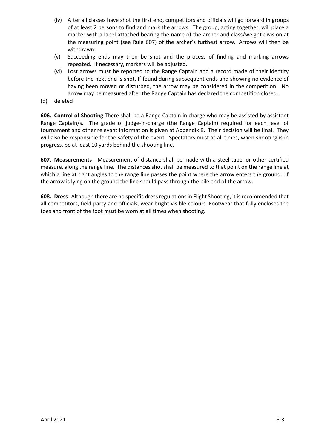- (iv) After all classes have shot the first end, competitors and officials will go forward in groups of at least 2 persons to find and mark the arrows. The group, acting together, will place a marker with a label attached bearing the name of the archer and class/weight division at the measuring point (see Rule 607) of the archer's furthest arrow. Arrows will then be withdrawn.
- (v) Succeeding ends may then be shot and the process of finding and marking arrows repeated. If necessary, markers will be adjusted.
- (vi) Lost arrows must be reported to the Range Captain and a record made of their identity before the next end is shot, If found during subsequent ends and showing no evidence of having been moved or disturbed, the arrow may be considered in the competition. No arrow may be measured after the Range Captain has declared the competition closed.
- (d) deleted

**606. Control of Shooting** There shall be a Range Captain in charge who may be assisted by assistant Range Captain/s. The grade of judge-in-charge (the Range Captain) required for each level of tournament and other relevant information is given at Appendix B. Their decision will be final. They will also be responsible for the safety of the event. Spectators must at all times, when shooting is in progress, be at least 10 yards behind the shooting line.

**607. Measurements** Measurement of distance shall be made with a steel tape, or other certified measure, along the range line. The distances shot shall be measured to that point on the range line at which a line at right angles to the range line passes the point where the arrow enters the ground. If the arrow is lying on the ground the line should pass through the pile end of the arrow.

**608. Dress** Although there are no specific dress regulations in Flight Shooting, it is recommended that all competitors, field party and officials, wear bright visible colours. Footwear that fully encloses the toes and front of the foot must be worn at all times when shooting.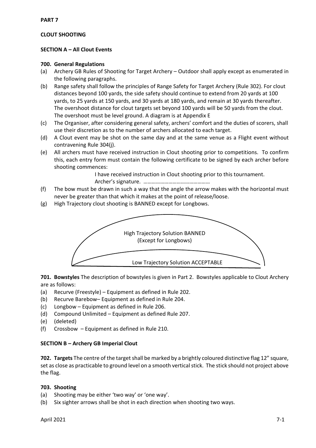# **CLOUT SHOOTING**

## **SECTION A – All Clout Events**

### **700. General Regulations**

- (a) Archery GB Rules of Shooting for Target Archery Outdoor shall apply except as enumerated in the following paragraphs.
- (b) Range safety shall follow the principles of Range Safety for Target Archery (Rule 302). For clout distances beyond 100 yards, the side safety should continue to extend from 20 yards at 100 yards, to 25 yards at 150 yards, and 30 yards at 180 yards, and remain at 30 yards thereafter. The overshoot distance for clout targets set beyond 100 yards will be 50 yards from the clout. The overshoot must be level ground. A diagram is at Appendix E
- (c) The Organiser, after considering general safety, archers' comfort and the duties of scorers, shall use their discretion as to the number of archers allocated to each target.
- (d) A Clout event may be shot on the same day and at the same venue as a Flight event without contravening Rule 304(j).
- (e) All archers must have received instruction in Clout shooting prior to competitions. To confirm this, each entry form must contain the following certificate to be signed by each archer before shooting commences:

I have received instruction in Clout shooting prior to this tournament. Archer's signature. …………………………………………

- (f) The bow must be drawn in such a way that the angle the arrow makes with the horizontal must never be greater than that which it makes at the point of release/loose.
- (g) High Trajectory clout shooting is BANNED except for Longbows.



**701. Bowstyles** The description of bowstyles is given in Part 2. Bowstyles applicable to Clout Archery are as follows:

- (a) Recurve (Freestyle) Equipment as defined in Rule 202.
- (b) Recurve Barebow– Equipment as defined in Rule 204.
- (c) Longbow Equipment as defined in Rule 206.
- (d) Compound Unlimited Equipment as defined Rule 207.
- (e) (deleted)
- (f) Crossbow Equipment as defined in Rule 210.

## **SECTION B – Archery GB Imperial Clout**

**702. Targets** The centre of the target shall be marked by a brightly coloured distinctive flag 12" square, set as close as practicable to ground level on a smooth vertical stick. The stick should not project above the flag.

#### **703. Shooting**

- (a) Shooting may be either 'two way' or 'one way'.
- (b) Six sighter arrows shall be shot in each direction when shooting two ways.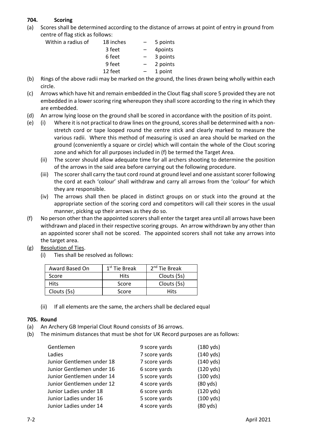# **704. Scoring**

Within a radius of

(a) Scores shall be determined according to the distance of arrows at point of entry in ground from centre of flag stick as follows:

| 18 inches |   | 5 points |
|-----------|---|----------|
| 3 feet    |   | 4points  |
| 6 feet    |   | 3 points |
| 9 feet    | ۰ | 2 points |
| 12 feet   |   | 1 point  |

- (b) Rings of the above radii may be marked on the ground, the lines drawn being wholly within each circle.
- (c) Arrows which have hit and remain embedded in the Clout flag shall score 5 provided they are not embedded in a lower scoring ring whereupon they shall score according to the ring in which they are embedded.
- (d) An arrow lying loose on the ground shall be scored in accordance with the position of its point.
- (e) (i) Where it is not practical to draw lines on the ground, scores shall be determined with a nonstretch cord or tape looped round the centre stick and clearly marked to measure the various radii. Where this method of measuring is used an area should be marked on the ground (conveniently a square or circle) which will contain the whole of the Clout scoring zone and which for all purposes included in (f) be termed the Target Area.
	- (ii) The scorer should allow adequate time for all archers shooting to determine the position of the arrows in the said area before carrying out the following procedure.
	- (iii) The scorer shall carry the taut cord round at ground level and one assistant scorer following the cord at each 'colour' shall withdraw and carry all arrows from the 'colour' for which they are responsible.
	- (iv) The arrows shall then be placed in distinct groups on or stuck into the ground at the appropriate section of the scoring cord and competitors will call their scores in the usual manner, picking up their arrows as they do so.
- (f) No person other than the appointed scorers shall enter the target area until all arrows have been withdrawn and placed in their respective scoring groups. An arrow withdrawn by any other than an appointed scorer shall not be scored. The appointed scorers shall not take any arrows into the target area.
- (g) Resolution of Ties.
	- (i) Ties shall be resolved as follows:

| Award Based On | $1st$ Tie Break | 2 <sup>nd</sup> Tie Break |
|----------------|-----------------|---------------------------|
| Score          | Hits            | Clouts (5s)               |
| Hits           | Score           | Clouts (5s)               |
| Clouts (5s)    | Score           | Hits                      |

(ii) If all elements are the same, the archers shall be declared equal

#### **705. Round**

- (a) An Archery GB Imperial Clout Round consists of 36 arrows.
- (b) The minimum distances that must be shot for UK Record purposes are as follows:

| Gentlemen                 | 9 score vards | (180 yds)           |
|---------------------------|---------------|---------------------|
| Ladies                    | 7 score vards | $(140 \text{ vds})$ |
| Junior Gentlemen under 18 | 7 score vards | $(140 \text{ vds})$ |
| Junior Gentlemen under 16 | 6 score vards | (120 yds)           |
| Junior Gentlemen under 14 | 5 score vards | (100 yds)           |
| Junior Gentlemen under 12 | 4 score vards | $(80 \text{ vds})$  |
| Junior Ladies under 18    | 6 score vards | (120 yds)           |
| Junior Ladies under 16    | 5 score vards | (100 yds)           |
| Junior Ladies under 14    | 4 score vards | (80 yds)            |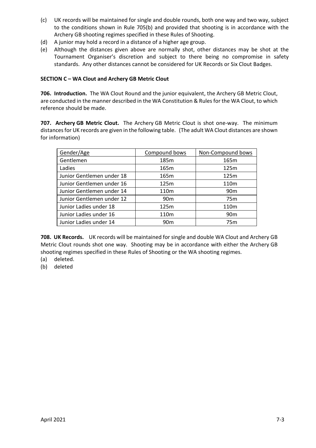- (c) UK records will be maintained for single and double rounds, both one way and two way, subject to the conditions shown in Rule 705(b) and provided that shooting is in accordance with the Archery GB shooting regimes specified in these Rules of Shooting.
- (d) A junior may hold a record in a distance of a higher age group.
- (e) Although the distances given above are normally shot, other distances may be shot at the Tournament Organiser's discretion and subject to there being no compromise in safety standards. Any other distances cannot be considered for UK Records or Six Clout Badges.

# **SECTION C – WA Clout and Archery GB Metric Clout**

**706. Introduction.** The WA Clout Round and the junior equivalent, the Archery GB Metric Clout, are conducted in the manner described in the WA Constitution & Rules for the WA Clout, to which reference should be made.

**707. Archery GB Metric Clout.** The Archery GB Metric Clout is shot one-way. The minimum distances for UK records are given in the following table. (The adult WA Clout distances are shown for information)

| Gender/Age                | Compound bows    | Non-Compound bows |  |
|---------------------------|------------------|-------------------|--|
| Gentlemen                 | 185 <sub>m</sub> | 165m              |  |
| Ladies                    | 165m             | 125m              |  |
| Junior Gentlemen under 18 | 165m             | 125m              |  |
| Junior Gentlemen under 16 | 125m             | 110 <sub>m</sub>  |  |
| Junior Gentlemen under 14 | 110 <sub>m</sub> | 90 <sub>m</sub>   |  |
| Junior Gentlemen under 12 | 90 <sub>m</sub>  | 75 <sub>m</sub>   |  |
| Junior Ladies under 18    | 125m             | 110 <sub>m</sub>  |  |
| Junior Ladies under 16    | 110 <sub>m</sub> | 90 <sub>m</sub>   |  |
| Junior Ladies under 14    | 90 <sub>m</sub>  | 75 <sub>m</sub>   |  |

**708. UK Records.** UK records will be maintained for single and double WA Clout and Archery GB Metric Clout rounds shot one way. Shooting may be in accordance with either the Archery GB shooting regimes specified in these Rules of Shooting or the WA shooting regimes.

- (a) deleted.
- (b) deleted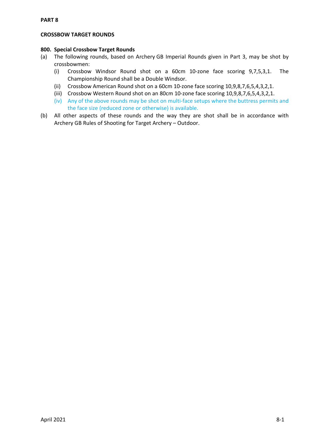# **CROSSBOW TARGET ROUNDS**

#### **800. Special Crossbow Target Rounds**

- (a) The following rounds, based on Archery GB Imperial Rounds given in Part 3, may be shot by crossbowmen:
	- (i) Crossbow Windsor Round shot on a 60cm 10-zone face scoring 9,7,5,3,1. The Championship Round shall be a Double Windsor.
	- (ii) Crossbow American Round shot on a 60cm 10-zone face scoring 10,9,8,7,6,5,4,3,2,1.
	- (iii) Crossbow Western Round shot on an 80cm 10-zone face scoring 10,9,8,7,6,5,4,3,2,1.
	- (iv) Any of the above rounds may be shot on multi-face setups where the buttress permits and the face size (reduced zone or otherwise) is available.
- (b) All other aspects of these rounds and the way they are shot shall be in accordance with Archery GB Rules of Shooting for Target Archery – Outdoor.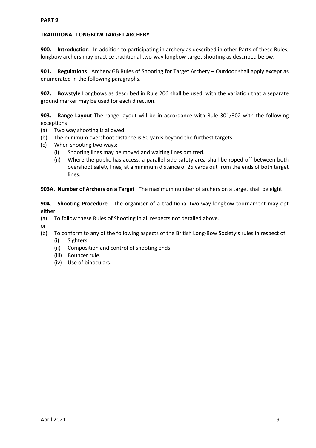# **TRADITIONAL LONGBOW TARGET ARCHERY**

**900. Introduction** In addition to participating in archery as described in other Parts of these Rules, longbow archers may practice traditional two-way longbow target shooting as described below.

**901. Regulations** Archery GB Rules of Shooting for Target Archery – Outdoor shall apply except as enumerated in the following paragraphs.

**902. Bowstyle** Longbows as described in Rule 206 shall be used, with the variation that a separate ground marker may be used for each direction.

**903. Range Layout** The range layout will be in accordance with Rule 301/302 with the following exceptions:

- (a) Two way shooting is allowed.
- (b) The minimum overshoot distance is 50 yards beyond the furthest targets.
- (c) When shooting two ways:
	- (i) Shooting lines may be moved and waiting lines omitted.
	- (ii) Where the public has access, a parallel side safety area shall be roped off between both overshoot safety lines, at a minimum distance of 25 yards out from the ends of both target lines.

**903A. Number of Archers on a Target** The maximum number of archers on a target shall be eight.

**904. Shooting Procedure** The organiser of a traditional two-way longbow tournament may opt either:

- (a) To follow these Rules of Shooting in all respects not detailed above.
- or
- (b) To conform to any of the following aspects of the British Long-Bow Society's rules in respect of:
	- (i) Sighters.
	- (ii) Composition and control of shooting ends.
	- (iii) Bouncer rule.
	- (iv) Use of binoculars.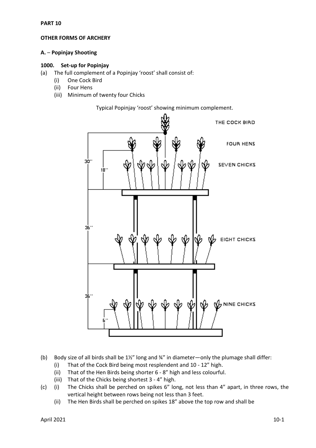# **OTHER FORMS OF ARCHERY**

# **A.** – **Popinjay Shooting**

### **1000. Set-up for Popinjay**

- (a) The full complement of a Popinjay 'roost' shall consist of:
	- (i) One Cock Bird
	- (ii) Four Hens
	- (iii) Minimum of twenty four Chicks

Typical Popinjay 'roost' showing minimum complement.



- (b) Body size of all birds shall be  $1\frac{1}{2}$ " long and  $\frac{1}{2}$ " in diameter—only the plumage shall differ:
	- (i) That of the Cock Bird being most resplendent and 10 12" high.
	- (ii) That of the Hen Birds being shorter 6 8" high and less colourful.
	- (iii) That of the Chicks being shortest 3 4" high.
- (c) (i) The Chicks shall be perched on spikes 6" long, not less than 4" apart, in three rows, the vertical height between rows being not less than 3 feet.
	- (ii) The Hen Birds shall be perched on spikes 18" above the top row and shall be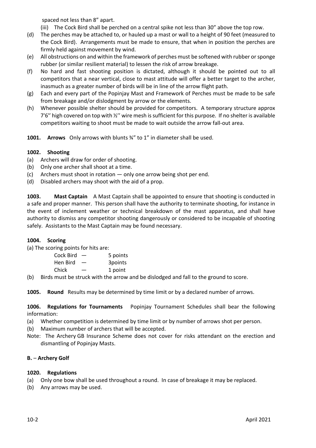spaced not less than 8" apart.

(iii) The Cock Bird shall be perched on a central spike not less than 30" above the top row.

- (d) The perches may be attached to, or hauled up a mast or wall to a height of 90 feet (measured to the Cock Bird). Arrangements must be made to ensure, that when in position the perches are firmly held against movement by wind.
- (e) All obstructions on and within the framework of perches must be softened with rubber or sponge rubber (or similar resilient material) to lessen the risk of arrow breakage.
- (f) No hard and fast shooting position is dictated, although it should be pointed out to all competitors that a near vertical, close to mast attitude will offer a better target to the archer, inasmuch as a greater number of birds will be in line of the arrow flight path.
- (g) Each and every part of the Popinjay Mast and Framework of Perches must be made to be safe from breakage and/or dislodgment by arrow or the elements.
- (h) Whenever possible shelter should be provided for competitors. A temporary structure approx 7'6'' high covered on top with ½'' wire mesh is sufficient for this purpose. If no shelter is available competitors waiting to shoot must be made to wait outside the arrow fall-out area.

**1001. Arrows** Only arrows with blunts ¾" to 1" in diameter shall be used.

### **1002. Shooting**

- (a) Archers will draw for order of shooting.
- (b) Only one archer shall shoot at a time.
- (c) Archers must shoot in rotation only one arrow being shot per end.
- (d) Disabled archers may shoot with the aid of a prop.

**1003. Mast Captain** A Mast Captain shall be appointed to ensure that shooting is conducted in a safe and proper manner. This person shall have the authority to terminate shooting, for instance in the event of inclement weather or technical breakdown of the mast apparatus, and shall have authority to dismiss any competitor shooting dangerously or considered to be incapable of shooting safely. Assistants to the Mast Captain may be found necessary.

## **1004. Scoring**

(a) The scoring points for hits are:

| Cock Bird | $\overline{\phantom{0}}$ | 5 points |
|-----------|--------------------------|----------|
| Hen Bird  |                          | 3points  |
| Chick     | --                       | 1 point  |

(b) Birds must be struck with the arrow and be dislodged and fall to the ground to score.

**1005. Round** Results may be determined by time limit or by a declared number of arrows.

**1006. Regulations for Tournaments** Popinjay Tournament Schedules shall bear the following information:

- (a) Whether competition is determined by time limit or by number of arrows shot per person.
- (b) Maximum number of archers that will be accepted.
- Note: The Archery GB Insurance Scheme does not cover for risks attendant on the erection and dismantling of Popinjay Masts.

## **B.** – **Archery Golf**

## **1020. Regulations**

- (a) Only one bow shall be used throughout a round. In case of breakage it may be replaced.
- (b) Any arrows may be used.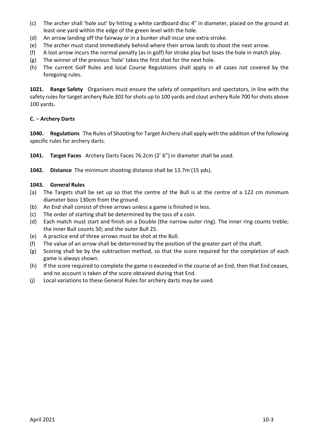- (c) The archer shall 'hole out' by hitting a white cardboard disc 4" in diameter, placed on the ground at least one yard within the edge of the green level with the hole.
- (d) An arrow landing off the fairway or in a bunker shall incur one extra stroke.
- (e) The archer must stand immediately behind where their arrow lands to shoot the next arrow.
- (f) A lost arrow incurs the normal penalty (as in golf) for stroke play but loses the hole in match play.
- (g) The winner of the previous 'hole' takes the first shot for the next hole.
- (h) The current Golf Rules and local Course Regulations shall apply in all cases not covered by the foregoing rules.

**1021. Range Safety** Organisers must ensure the safety of competitors and spectators, in line with the safety rules for target archery Rule 302 for shots up to 100 yards and clout archery Rule 700 for shots above 100 yards**.** 

## **C.** – **Archery Darts**

**1040. Regulations** The Rules of Shooting for Target Archery shall apply with the addition of the following specific rules for archery darts.

**1041. Target Faces** Archery Darts Faces 76.2cm (2' 6") in diameter shall be used.

**1042. Distance** The minimum shooting distance shall be 13.7m (15 yds).

# **1043. General Rules**

- (a) The Targets shall be set up so that the centre of the Bull is at the centre of a 122 cm minimum diameter boss 130cm from the ground.
- (b) An End shall consist of three arrows unless a game is finished in less.
- (c) The order of starting shall be determined by the toss of a coin.
- (d) Each match must start and finish on a Double (the narrow outer ring). The inner ring counts treble; the inner Bull counts 50; and the outer Bull 25.
- (e) A practice end of three arrows must be shot at the Bull.
- (f) The value of an arrow shall be determined by the position of the greater part of the shaft.
- (g) Scoring shall be by the subtraction method, so that the score required for the completion of each game is always shown.
- (h) If the score required to complete the game is exceeded in the course of an End, then that End ceases, and no account is taken of the score obtained during that End.
- (j) Local variations to these General Rules for archery darts may be used.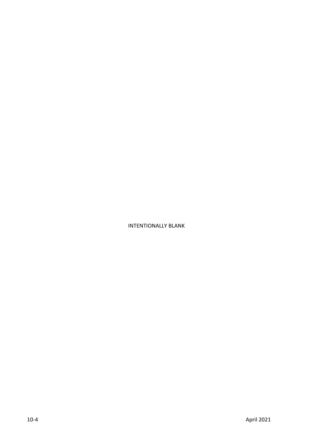10-4 April 2021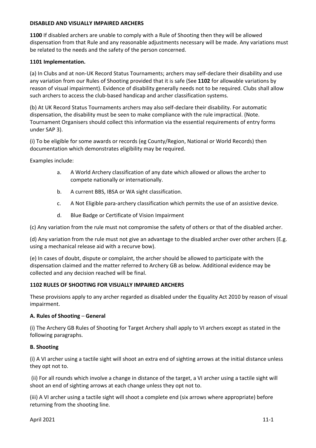#### **DISABLED AND VISUALLY IMPAIRED ARCHERS**

**1100** If disabled archers are unable to comply with a Rule of Shooting then they will be allowed dispensation from that Rule and any reasonable adjustments necessary will be made. Any variations must be related to the needs and the safety of the person concerned.

### **1101 Implementation.**

(a) In Clubs and at non-UK Record Status Tournaments; archers may self-declare their disability and use any variation from our Rules of Shooting provided that it is safe (See **1102** for allowable variations by reason of visual impairment). Evidence of disability generally needs not to be required. Clubs shall allow such archers to access the club-based handicap and archer classification systems.

(b) At UK Record Status Tournaments archers may also self-declare their disability. For automatic dispensation, the disability must be seen to make compliance with the rule impractical. (Note. Tournament Organisers should collect this information via the essential requirements of entry forms under SAP 3).

(i) To be eligible for some awards or records (eg County/Region, National or World Records) then documentation which demonstrates eligibility may be required.

Examples include:

- a. A World Archery classification of any date which allowed or allows the archer to compete nationally or internationally.
- b. A current BBS, IBSA or WA sight classification.
- c. A Not Eligible para-archery classification which permits the use of an assistive device.
- d. Blue Badge or Certificate of Vision Impairment

(c) Any variation from the rule must not compromise the safety of others or that of the disabled archer.

(d) Any variation from the rule must not give an advantage to the disabled archer over other archers (E.g. using a mechanical release aid with a recurve bow).

(e) In cases of doubt, dispute or complaint, the archer should be allowed to participate with the dispensation claimed and the matter referred to Archery GB as below. Additional evidence may be collected and any decision reached will be final.

# **1102 RULES OF SHOOTING FOR VISUALLY IMPAIRED ARCHERS**

These provisions apply to any archer regarded as disabled under the Equality Act 2010 by reason of visual impairment.

#### **A. Rules of Shooting** – **General**

(i) The Archery GB Rules of Shooting for Target Archery shall apply to VI archers except as stated in the following paragraphs.

#### **B. Shooting**

(i) A VI archer using a tactile sight will shoot an extra end of sighting arrows at the initial distance unless they opt not to.

(ii) For all rounds which involve a change in distance of the target, a VI archer using a tactile sight will shoot an end of sighting arrows at each change unless they opt not to.

(iii) A VI archer using a tactile sight will shoot a complete end (six arrows where appropriate) before returning from the shooting line.

April 2021 11-1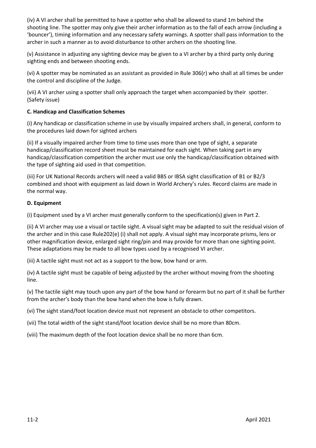(iv) A VI archer shall be permitted to have a spotter who shall be allowed to stand 1m behind the shooting line. The spotter may only give their archer information as to the fall of each arrow (including a 'bouncer'), timing information and any necessary safety warnings. A spotter shall pass information to the archer in such a manner as to avoid disturbance to other archers on the shooting line.

(v) Assistance in adjusting any sighting device may be given to a VI archer by a third party only during sighting ends and between shooting ends.

(vi) A spotter may be nominated as an assistant as provided in Rule 306(r) who shall at all times be under the control and discipline of the Judge.

(vii) A VI archer using a spotter shall only approach the target when accompanied by their spotter. (Safety issue)

## **C. Handicap and Classification Schemes**

(i) Any handicap or classification scheme in use by visually impaired archers shall, in general, conform to the procedures laid down for sighted archers

(ii) If a visually impaired archer from time to time uses more than one type of sight, a separate handicap/classification record sheet must be maintained for each sight. When taking part in any handicap/classification competition the archer must use only the handicap/classification obtained with the type of sighting aid used in that competition.

(iii) For UK National Records archers will need a valid BBS or IBSA sight classification of B1 or B2/3 combined and shoot with equipment as laid down in World Archery's rules. Record claims are made in the normal way.

## **D. Equipment**

(i) Equipment used by a VI archer must generally conform to the specification(s) given in Part 2.

(ii) A VI archer may use a visual or tactile sight. A visual sight may be adapted to suit the residual vision of the archer and in this case Rule202(e) (i) shall not apply. A visual sight may incorporate prisms, lens or other magnification device, enlarged sight ring/pin and may provide for more than one sighting point. These adaptations may be made to all bow types used by a recognised VI archer.

(iii) A tactile sight must not act as a support to the bow, bow hand or arm.

(iv) A tactile sight must be capable of being adjusted by the archer without moving from the shooting line.

(v) The tactile sight may touch upon any part of the bow hand or forearm but no part of it shall be further from the archer's body than the bow hand when the bow is fully drawn.

(vi) The sight stand/foot location device must not represent an obstacle to other competitors.

(vii) The total width of the sight stand/foot location device shall be no more than 80cm.

(viii) The maximum depth of the foot location device shall be no more than 6cm.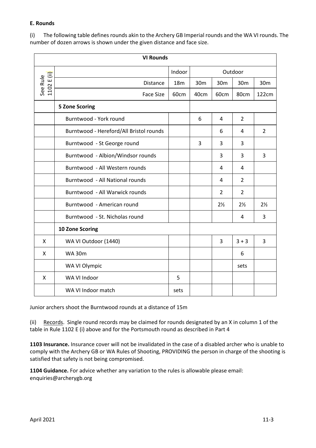## **E. Rounds**

(i) The following table defines rounds akin to the Archery GB Imperial rounds and the WA VI rounds. The number of dozen arrows is shown under the given distance and face size.

| <b>VI Rounds</b>               |                                         |                 |                 |                 |                 |                 |  |  |
|--------------------------------|-----------------------------------------|-----------------|-----------------|-----------------|-----------------|-----------------|--|--|
|                                |                                         | Indoor          | Outdoor         |                 |                 |                 |  |  |
| 1102 E (ii)<br>See Rule        | <b>Distance</b>                         | 18 <sub>m</sub> | 30 <sub>m</sub> | 30 <sub>m</sub> | 30 <sub>m</sub> | 30 <sub>m</sub> |  |  |
|                                | Face Size                               | 60cm            | 40cm            | 60cm            | 80cm            | 122cm           |  |  |
| 5 Zone Scoring                 |                                         |                 |                 |                 |                 |                 |  |  |
|                                | Burntwood - York round                  |                 | 6               | 4               | $\overline{2}$  |                 |  |  |
|                                | Burntwood - Hereford/All Bristol rounds |                 |                 | 6               | 4               | $\overline{2}$  |  |  |
|                                | Burntwood - St George round             |                 | 3               | 3               | 3               |                 |  |  |
|                                | Burntwood - Albion/Windsor rounds       |                 |                 | 3               | 3               | 3               |  |  |
|                                | Burntwood - All Western rounds          |                 |                 | 4               | 4               |                 |  |  |
|                                | Burntwood - All National rounds         |                 |                 | 4               | $\overline{2}$  |                 |  |  |
| Burntwood - All Warwick rounds |                                         |                 |                 | $\overline{2}$  | $\overline{2}$  |                 |  |  |
|                                | Burntwood - American round              |                 |                 | $2\frac{1}{2}$  | $2\frac{1}{2}$  | $2\frac{1}{2}$  |  |  |
|                                | Burntwood - St. Nicholas round          |                 |                 |                 | 4               | 3               |  |  |
|                                | 10 Zone Scoring                         |                 |                 |                 |                 |                 |  |  |
| X                              | WA VI Outdoor (1440)                    |                 |                 | 3               | $3 + 3$         | 3               |  |  |
| X                              | <b>WA 30m</b>                           |                 |                 |                 | 6               |                 |  |  |
|                                | WA VI Olympic                           |                 |                 |                 | sets            |                 |  |  |
| X                              | WA VI Indoor                            | 5               |                 |                 |                 |                 |  |  |
|                                | WA VI Indoor match                      | sets            |                 |                 |                 |                 |  |  |

Junior archers shoot the Burntwood rounds at a distance of 15m

(ii) Records. Single round records may be claimed for rounds designated by an X in column 1 of the table in Rule 1102 E (i) above and for the Portsmouth round as described in Part 4

**1103 Insurance.** Insurance cover will not be invalidated in the case of a disabled archer who is unable to comply with the Archery GB or WA Rules of Shooting, PROVIDING the person in charge of the shooting is satisfied that safety is not being compromised.

**1104 Guidance.** For advice whether any variation to the rules is allowable please email: enquiries@archerygb.org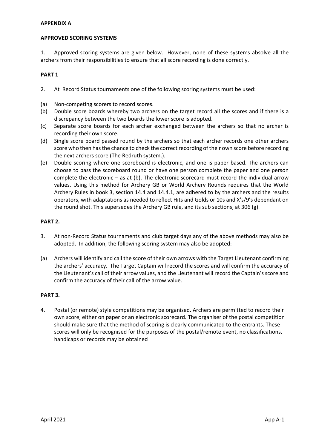#### **APPENDIX A**

### **APPROVED SCORING SYSTEMS**

1. Approved scoring systems are given below. However, none of these systems absolve all the archers from their responsibilities to ensure that all score recording is done correctly.

### **PART 1**

- 2. At Record Status tournaments one of the following scoring systems must be used:
- (a) Non-competing scorers to record scores.
- (b) Double score boards whereby two archers on the target record all the scores and if there is a discrepancy between the two boards the lower score is adopted.
- (c) Separate score boards for each archer exchanged between the archers so that no archer is recording their own score.
- (d) Single score board passed round by the archers so that each archer records one other archers score who then has the chance to check the correct recording of their own score before recording the next archers score (The Redruth system.).
- (e) Double scoring where one scoreboard is electronic, and one is paper based. The archers can choose to pass the scoreboard round or have one person complete the paper and one person complete the electronic – as at (b). The electronic scorecard must record the individual arrow values. Using this method for Archery GB or World Archery Rounds requires that the World Archery Rules in book 3, section 14.4 and 14.4.1, are adhered to by the archers and the results operators, with adaptations as needed to reflect Hits and Golds or 10s and X's/9's dependant on the round shot. This supersedes the Archery GB rule, and its sub sections, at 306 (g).

### **PART 2.**

- 3. At non-Record Status tournaments and club target days any of the above methods may also be adopted. In addition, the following scoring system may also be adopted:
- (a) Archers will identify and call the score of their own arrows with the Target Lieutenant confirming the archers' accuracy. The Target Captain will record the scores and will confirm the accuracy of the Lieutenant's call of their arrow values, and the Lieutenant will record the Captain's score and confirm the accuracy of their call of the arrow value.

### **PART 3.**

4. Postal (or remote) style competitions may be organised. Archers are permitted to record their own score, either on paper or an electronic scorecard. The organiser of the postal competition should make sure that the method of scoring is clearly communicated to the entrants. These scores will only be recognised for the purposes of the postal/remote event, no classifications, handicaps or records may be obtained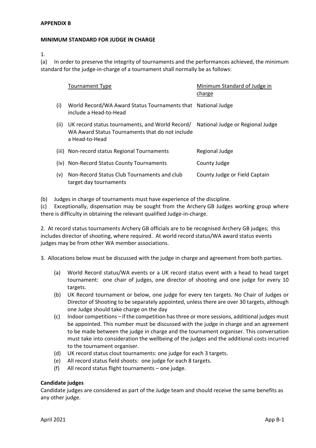### **APPENDIX B**

#### **MINIMUM STANDARD FOR JUDGE IN CHARGE**

1.

(a) In order to preserve the integrity of tournaments and the performances achieved, the minimum standard for the judge-in-charge of a tournament shall normally be as follows:

|      | <b>Tournament Type</b>                                                                                               | Minimum Standard of Judge in<br>charge |
|------|----------------------------------------------------------------------------------------------------------------------|----------------------------------------|
| (i)  | World Record/WA Award Status Tournaments that National Judge<br>include a Head-to-Head                               |                                        |
| (ii) | UK record status tournaments, and World Record/<br>WA Award Status Tournaments that do not include<br>a Head-to-Head | National Judge or Regional Judge       |
|      | (iii) Non-record status Regional Tournaments                                                                         | Regional Judge                         |
|      | (iv) Non-Record Status County Tournaments                                                                            | County Judge                           |
| (v)  | Non-Record Status Club Tournaments and club<br>target day tournaments                                                | County Judge or Field Captain          |

(b) Judges in charge of tournaments must have experience of the discipline.

(c) Exceptionally, dispensation may be sought from the Archery GB Judges working group where there is difficulty in obtaining the relevant qualified Judge-in-charge.

2. At record status tournaments Archery GB officials are to be recognised Archery GB judges; this includes director of shooting, where required. At world record status/WA award status events judges may be from other WA member associations.

3. Allocations below must be discussed with the judge in charge and agreement from both parties.

- (a) World Record status/WA events or a UK record status event with a head to head target tournament: one chair of judges, one director of shooting and one judge for every 10 targets.
- (b) UK Record tournament or below, one judge for every ten targets. No Chair of Judges or Director of Shooting to be separately appointed, unless there are over 30 targets, although one Judge should take charge on the day
- (c) Indoor competitions if the competition has three or more sessions, additional judges must be appointed. This number must be discussed with the judge in charge and an agreement to be made between the judge in charge and the tournament organiser. This conversation must take into consideration the wellbeing of the judges and the additional costs incurred to the tournament organiser.
- (d) UK record status clout tournaments: one judge for each 3 targets.
- (e) All record status field shoots: one judge for each 8 targets.
- (f) All record status flight tournaments one judge.

### **Candidate judges**

Candidate judges are considered as part of the Judge team and should receive the same benefits as any other judge.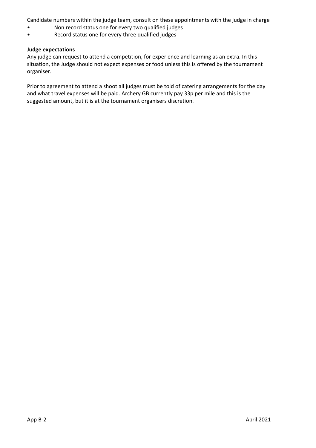Candidate numbers within the judge team, consult on these appointments with the judge in charge

- Non record status one for every two qualified judges
- Record status one for every three qualified judges

### **Judge expectations**

Any judge can request to attend a competition, for experience and learning as an extra. In this situation, the Judge should not expect expenses or food unless this is offered by the tournament organiser.

Prior to agreement to attend a shoot all judges must be told of catering arrangements for the day and what travel expenses will be paid. Archery GB currently pay 33p per mile and this is the suggested amount, but it is at the tournament organisers discretion.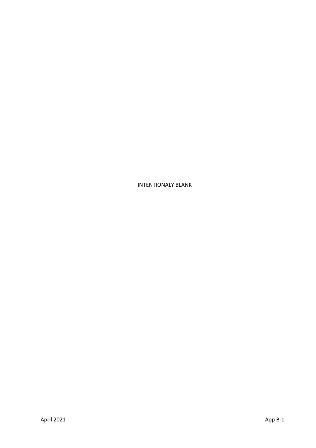INTENTIONALY BLANK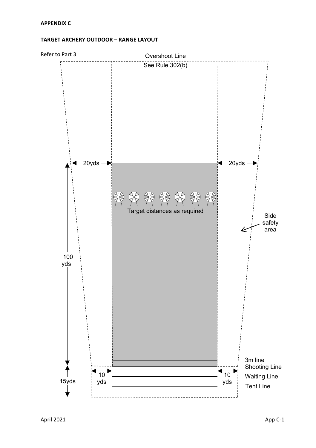# **APPENDIX C**

# **TARGET ARCHERY OUTDOOR – RANGE LAYOUT**

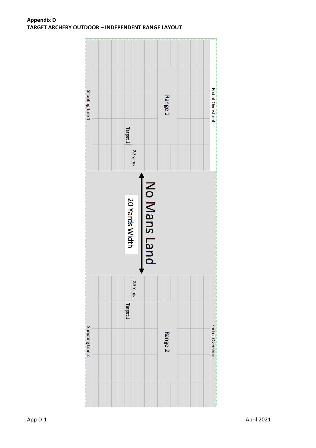## **Appendix D TARGET ARCHERY OUTDOOR – INDEPENDENT RANGE LAYOUT**

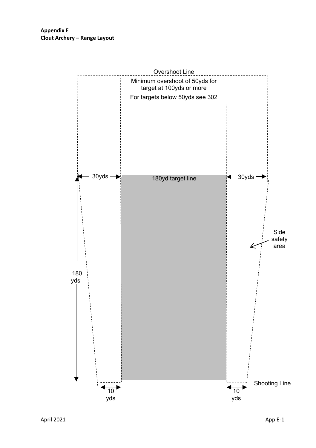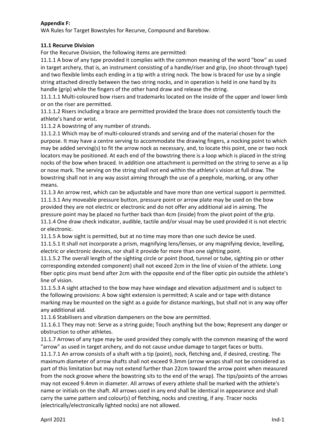## **Appendix F:**

WA Rules for Target Bowstyles for Recurve, Compound and Barebow.

## **11.1 Recurve Division**

For the Recurve Division, the following items are permitted:

11.1.1 A bow of any type provided it complies with the common meaning of the word "bow" as used in target archery, that is, an instrument consisting of a handle/riser and grip, (no shoot-through type) and two flexible limbs each ending in a tip with a string nock. The bow is braced for use by a single string attached directly between the two string nocks, and in operation is held in one hand by its handle (grip) while the fingers of the other hand draw and release the string.

11.1.1.1 Multi-coloured bow risers and trademarks located on the inside of the upper and lower limb or on the riser are permitted.

11.1.1.2 Risers including a brace are permitted provided the brace does not consistently touch the athlete's hand or wrist.

11.1.2 A bowstring of any number of strands.

11.1.2.1 Which may be of multi-coloured strands and serving and of the material chosen for the purpose. It may have a centre serving to accommodate the drawing fingers, a nocking point to which may be added serving(s) to fit the arrow nock as necessary, and, to locate this point, one or two nock locators may be positioned. At each end of the bowstring there is a loop which is placed in the string nocks of the bow when braced. In addition one attachment is permitted on the string to serve as a lip or nose mark. The serving on the string shall not end within the athlete's vision at full draw. The bowstring shall not in any way assist aiming through the use of a peephole, marking, or any other means.

11.1.3 An arrow rest, which can be adjustable and have more than one vertical support is permitted. 11.1.3.1 Any moveable pressure button, pressure point or arrow plate may be used on the bow provided they are not electric or electronic and do not offer any additional aid in aiming. The pressure point may be placed no further back than 4cm (inside) from the pivot point of the grip. 11.1.4 One draw check indicator, audible, tactile and/or visual may be used provided it is not electric or electronic.

11.1.5 A bow sight is permitted, but at no time may more than one such device be used.

11.1.5.1 It shall not incorporate a prism, magnifying lens/lenses, or any magnifying device, levelling, electric or electronic devices, nor shall it provide for more than one sighting point.

11.1.5.2 The overall length of the sighting circle or point (hood, tunnel or tube, sighting pin or other corresponding extended component) shall not exceed 2cm in the line of vision of the athlete. Long fiber optic pins must bend after 2cm with the opposite end of the fiber optic pin outside the athlete's line of vision.

11.1.5.3 A sight attached to the bow may have windage and elevation adjustment and is subject to the following provisions: A bow sight extension is permitted; A scale and or tape with distance marking may be mounted on the sight as a guide for distance markings, but shall not in any way offer any additional aid.

11.1.6 Stabilisers and vibration dampeners on the bow are permitted.

11.1.6.1 They may not: Serve as a string guide; Touch anything but the bow; Represent any danger or obstruction to other athletes.

11.1.7 Arrows of any type may be used provided they comply with the common meaning of the word "arrow" as used in target archery, and do not cause undue damage to target faces or butts.

11.1.7.1 An arrow consists of a shaft with a tip (point), nock, fletching and, if desired, cresting. The maximum diameter of arrow shafts shall not exceed 9.3mm (arrow wraps shall not be considered as part of this limitation but may not extend further than 22cm toward the arrow point when measured from the nock groove where the bowstring sits to the end of the wrap). The tips/points of the arrows may not exceed 9.4mm in diameter. All arrows of every athlete shall be marked with the athlete's name or initials on the shaft. All arrows used in any end shall be identical in appearance and shall carry the same pattern and colour(s) of fletching, nocks and cresting, if any. Tracer nocks (electrically/electronically lighted nocks) are not allowed.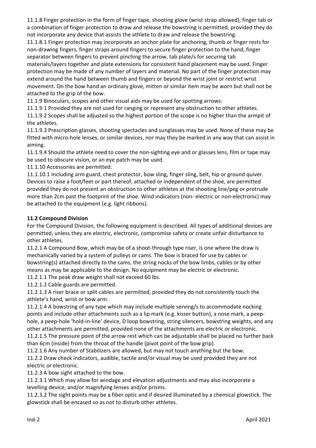11.1.8 Finger protection in the form of finger tape, shooting glove (wrist strap allowed), finger tab or a combination of finger protection to draw and release the bowstring is permitted, provided they do not incorporate any device that assists the athlete to draw and release the bowstring.

11.1.8.1 Finger protection may incorporate an anchor plate for anchoring, thumb or finger rests for non-drawing fingers, finger straps around fingers to secure finger protection to the hand, finger separator between fingers to prevent pinching the arrow, tab plate/s for securing tab materials/layers together and plate extensions for consistent hand placement may be used. Finger protection may be made of any number of layers and material. No part of the finger protection may extend around the hand between thumb and fingers or beyond the wrist joint or restrict wrist movement. On the bow hand an ordinary glove, mitten or similar item may be worn but shall not be attached to the grip of the bow.

11.1.9 Binoculars, scopes and other visual aids may be used for spotting arrows:

11.1.9.1 Provided they are not used for ranging or represent any obstruction to other athletes. 11.1.9.2 Scopes shall be adjusted so the highest portion of the scope is no higher than the armpit of

the athletes. 11.1.9.3 Prescription glasses, shooting spectacles and sunglasses may be used. None of these may be fitted with micro-hole lenses, or similar devices, nor may they be marked in any way that can assist in aiming.

11.1.9.4 Should the athlete need to cover the non-sighting eye and or glasses lens, film or tape may be used to obscure vision, or an eye patch may be used.

11.1.10 Accessories are permitted:

11.1.10.1 Including arm guard, chest protector, bow sling, finger sling, belt, hip or ground quiver. Devices to raise a foot/feet or part thereof, attached or independent of the shoe, are permitted provided they do not present an obstruction to other athletes at the shooting line/peg or protrude more than 2cm past the footprint of the shoe. Wind indicators (non- electric or non-electronic) may be attached to the equipment (e.g. light ribbons).

## **11.2 Compound Division**

For the Compound Division, the following equipment is described. All types of additional devices are permitted, unless they are electric, electronic, compromise safety or create unfair disturbance to other athletes.

11.2.1 A Compound Bow, which may be of a shoot-through type riser, is one where the draw is mechanically varied by a system of pulleys or cams. The bow is braced for use by cables or bowstring(s) attached directly to the cams, the string nocks of the bow limbs, cables or by other means as may be applicable to the design. No equipment may be electric or electronic.

11.2.1.1 The peak draw weight shall not exceed 60 lbs.

11.2.1.2 Cable guards are permitted.

11.2.1.3 A riser brace or split cables are permitted, provided they do not consistently touch the athlete's hand, wrist or bow arm.

11.2.1.4 A bowstring of any type which may include multiple serving/s to accommodate nocking points and include other attachments such as a lip mark (e.g. kisser button), a nose mark, a peephole, a peep-hole 'hold-in-line' device, D loop bowstring, string silencers, bowstring weights, and any other attachments are permitted, provided none of the attachments are electric or electronic. 11.2.1.5 The pressure point of the arrow rest which can be adjustable shall be placed no further back

than 6cm (inside) from the throat of the handle (pivot point of the bow grip).

11.2.1.6 Any number of Stabilizers are allowed, but may not touch anything but the bow.

11.2.2 Draw check indicators, audible, tactile and/or visual may be used provided they are not electric or electronic.

11.2.3 A bow sight attached to the bow.

11.2.3.1 Which may allow for windage and elevation adjustments and may also incorporate a levelling device, and/or magnifying lenses and/or prisms.

11.2.3.2 The sight points may be a fiber optic and if desired illuminated by a chemical glowstick. The glowstick shall be encased so as not to disturb other athletes.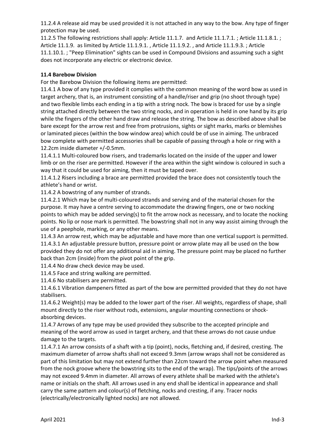11.2.4 A release aid may be used provided it is not attached in any way to the bow. Any type of finger protection may be used.

11.2.5 The following restrictions shall apply: Article 11.1.7. and Article 11.1.7.1. ; Article 11.1.8.1. ; Article 11.1.9. as limited by Article 11.1.9.1. , Article 11.1.9.2. , and Article 11.1.9.3. ; Article 11.1.10.1. ; "Peep Elimination" sights can be used in Compound Divisions and assuming such a sight does not incorporate any electric or electronic device.

## **11.4 Barebow Division**

For the Barebow Division the following items are permitted:

11.4.1 A bow of any type provided it complies with the common meaning of the word bow as used in target archery, that is, an instrument consisting of a handle/riser and grip (no shoot through type) and two flexible limbs each ending in a tip with a string nock. The bow is braced for use by a single string attached directly between the two string nocks, and in operation is held in one hand by its grip while the fingers of the other hand draw and release the string. The bow as described above shall be bare except for the arrow rest and free from protrusions, sights or sight marks, marks or blemishes or laminated pieces (within the bow window area) which could be of use in aiming. The unbraced bow complete with permitted accessories shall be capable of passing through a hole or ring with a 12.2cm inside diameter +/-0.5mm.

11.4.1.1 Multi-coloured bow risers, and trademarks located on the inside of the upper and lower limb or on the riser are permitted. However if the area within the sight window is coloured in such a way that it could be used for aiming, then it must be taped over.

11.4.1.2 Risers including a brace are permitted provided the brace does not consistently touch the athlete's hand or wrist.

11.4.2 A bowstring of any number of strands.

11.4.2.1 Which may be of multi-coloured strands and serving and of the material chosen for the purpose. It may have a centre serving to accommodate the drawing fingers, one or two nocking points to which may be added serving(s) to fit the arrow nock as necessary, and to locate the nocking points. No lip or nose mark is permitted. The bowstring shall not in any way assist aiming through the use of a peephole, marking, or any other means.

11.4.3 An arrow rest, which may be adjustable and have more than one vertical support is permitted. 11.4.3.1 An adjustable pressure button, pressure point or arrow plate may all be used on the bow provided they do not offer any additional aid in aiming. The pressure point may be placed no further back than 2cm (inside) from the pivot point of the grip.

11.4.4 No draw check device may be used.

11.4.5 Face and string walking are permitted.

11.4.6 No stabilisers are permitted.

11.4.6.1 Vibration dampeners fitted as part of the bow are permitted provided that they do not have stabilisers.

11.4.6.2 Weight(s) may be added to the lower part of the riser. All weights, regardless of shape, shall mount directly to the riser without rods, extensions, angular mounting connections or shockabsorbing devices.

11.4.7 Arrows of any type may be used provided they subscribe to the accepted principle and meaning of the word arrow as used in target archery, and that these arrows do not cause undue damage to the targets.

11.4.7.1 An arrow consists of a shaft with a tip (point), nocks, fletching and, if desired, cresting. The maximum diameter of arrow shafts shall not exceed 9.3mm (arrow wraps shall not be considered as part of this limitation but may not extend further than 22cm toward the arrow point when measured from the nock groove where the bowstring sits to the end of the wrap). The tips/points of the arrows may not exceed 9.4mm in diameter. All arrows of every athlete shall be marked with the athlete's name or initials on the shaft. All arrows used in any end shall be identical in appearance and shall carry the same pattern and colour(s) of fletching, nocks and cresting, if any. Tracer nocks (electrically/electronically lighted nocks) are not allowed.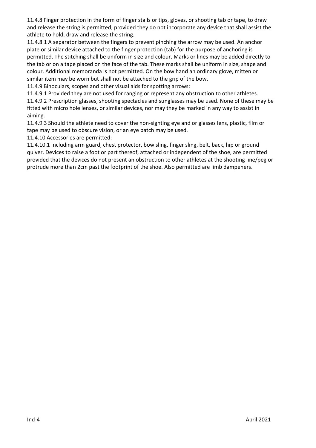11.4.8 Finger protection in the form of finger stalls or tips, gloves, or shooting tab or tape, to draw and release the string is permitted, provided they do not incorporate any device that shall assist the athlete to hold, draw and release the string.

11.4.8.1 A separator between the fingers to prevent pinching the arrow may be used. An anchor plate or similar device attached to the finger protection (tab) for the purpose of anchoring is permitted. The stitching shall be uniform in size and colour. Marks or lines may be added directly to the tab or on a tape placed on the face of the tab. These marks shall be uniform in size, shape and colour. Additional memoranda is not permitted. On the bow hand an ordinary glove, mitten or similar item may be worn but shall not be attached to the grip of the bow.

11.4.9 Binoculars, scopes and other visual aids for spotting arrows:

11.4.9.1 Provided they are not used for ranging or represent any obstruction to other athletes. 11.4.9.2 Prescription glasses, shooting spectacles and sunglasses may be used. None of these may be fitted with micro hole lenses, or similar devices, nor may they be marked in any way to assist in aiming.

11.4.9.3 Should the athlete need to cover the non-sighting eye and or glasses lens, plastic, film or tape may be used to obscure vision, or an eye patch may be used.

11.4.10 Accessories are permitted:

11.4.10.1 Including arm guard, chest protector, bow sling, finger sling, belt, back, hip or ground quiver. Devices to raise a foot or part thereof, attached or independent of the shoe, are permitted provided that the devices do not present an obstruction to other athletes at the shooting line/peg or protrude more than 2cm past the footprint of the shoe. Also permitted are limb dampeners.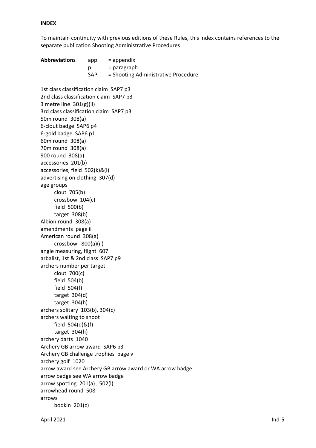## **INDEX**

To maintain continuity with previous editions of these Rules, this index contains references to the separate publication Shooting Administrative Procedures

**Abbreviations** app = appendix p = paragraph SAP = Shooting Administrative Procedure 1st class classification claim SAP7 p3 2nd class classification claim SAP7 p3 3 metre line 301(g)(ii) 3rd class classification claim SAP7 p3 50m round 308(a) 6-clout badge SAP6 p4 6-gold badge SAP6 p1 60m round 308(a) 70m round 308(a) 900 round 308(a) accessories 201(b) accessories, field 502(k)&(l) advertising on clothing 307(d) age groups clout 705(b) crossbow 104(c) field 500(b) target 308(b) Albion round 308(a) amendments page ii American round 308(a) crossbow 800(a)(ii) angle measuring, flight 607 arbalist, 1st & 2nd class SAP7 p9 archers number per target clout 700(c) field 504(b) field 504(f) target 304(d) target 304(h) archers solitary 103(b), 304(c) archers waiting to shoot field 504(d)&(f) target 304(h) archery darts 1040 Archery GB arrow award SAP6 p3 Archery GB challenge trophies page v archery golf 1020 arrow award see Archery GB arrow award or WA arrow badge arrow badge see WA arrow badge arrow spotting 201(a) , 502(l) arrowhead round 508 arrows bodkin 201(c)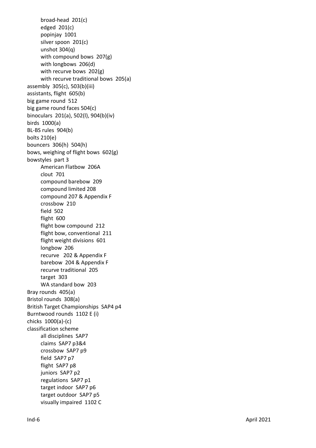broad-head 201(c) edged 201(c) popinjay 1001 silver spoon 201(c) unshot 304(q) with compound bows 207(g) with longbows 206(d) with recurve bows 202(g) with recurve traditional bows 205(a) assembly 305(c), 503(b)(iii) assistants, flight 605(b) big game round 512 big game round faces 504(c) binoculars 201(a), 502(l), 904(b)(iv) birds 1000(a) BL -BS rules 904(b) bolts 210(e) bouncers 306(h) 504(h) bows, weighing of flight bows 602(g) bowstyles part 3 American Flatbow 206A clout 701 compound barebow 209 compound limited 208 compound 207 & Appendix F crossbow 210 field 502 flight 600 flight bow compound 212 flight bow, conventional 211 flight weight divisions 601 longbow 206 recurve 202 & Appendix F barebow 204 & Appendix F recurve traditional 205 target 303 WA standard bow 203 Bray rounds 405(a) Bristol rounds 308(a) British Target Championships SAP4 p4 Burntwood rounds 1102 E (i) chicks 1000(a) -(c) classification scheme all disciplines SAP7 claims SAP7 p3&4 crossbow SAP7 p9 field SAP7 p7 flight SAP7 p8 juniors SAP7 p2 regulations SAP7 p1 target indoor SAP7 p6 target outdoor SAP7 p5 visually impaired 1102 C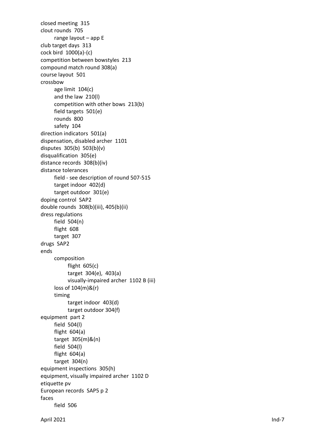closed meeting 315 clout rounds 705 range layout – app E club target days 313 cock bird 1000(a) -(c) competition between bowstyles 213 compound match round 308(a) course layout 501 crossbow age limit 104(c) and the law 210(l) competition with other bows 213(b) field targets 501(e) rounds 800 safety 104 direction indicators 501(a) dispensation, disabled archer 1101 disputes 305(b) 503(b)(v) disqualification 305(e) distance records 308(b)(iv) distance tolerances field - see description of round 507 -515 target indoor 402(d) target outdoor 301(e) doping control SAP2 double rounds 308(b)(iii), 405(b)(ii) dress regulations field 504(n) flight 608 target 307 drugs SAP2 ends composition flight 605(c) target 304(e), 403(a) visually -impaired archer 1102 B (iii) loss of 104(m)&(r) timing target indoor 403(d) target outdoor 304(f) equipment part 2 field 504(l) flight 604(a) target 305(m)&(n) field 504(l) flight 604(a) target 304(n) equipment inspections 305(h) equipment, visually impaired archer 1102 D etiquette pv European records SAP5 p 2 faces field 506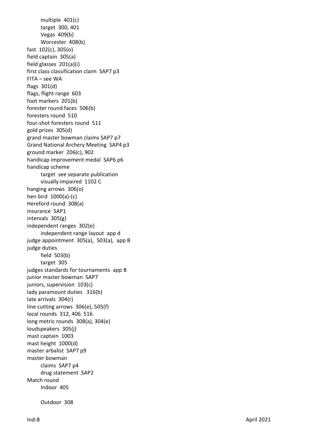multiple 401(c) target 300, 401 Vegas 409(b) Worcester 408(b) fast 102(c), 305(o) field captain 305(a) field glasses 201(a)(i) first class classification claim SAP7 p3 FITA – see WA flags 301(d) flags, flight range 603 foot markers 201(b) forester round faces 506(b) foresters round 510 four -shot foresters round 511 gold prizes 305(d) grand master bowman claims SAP7 p7 Grand National Archery Meeting SAP4 p3 ground marker 206(c), 902 handicap improvement medal SAP6 p6 handicap scheme target see separate public ation visually impaired 1102 C hanging arrows 306(o) hen bird 1000(a) -(c) Hereford round 308(a) insurance SAP1 intervals 305(g) independent ranges 302(e) independent range layout app d judge appointment 305(a), 503(a), app B judge duties field 503(b) target 305 judges standards for tournaments app B junior master bowman SAP7 juniors, supervision 103(c) lady paramount duties 316(b) late arrivals 304(r) line cutting arrows 306(e), 505(f) local rounds 312, 406 516 long metric rounds 308(a), 304(e) loudspeakers 305(j) mast captain 1003 mast height 1000(d) master arbalist SAP7 p9 master bowman claims SAP7 p4 drug statement SAP2 Match round Indoor 405

Outdoor 308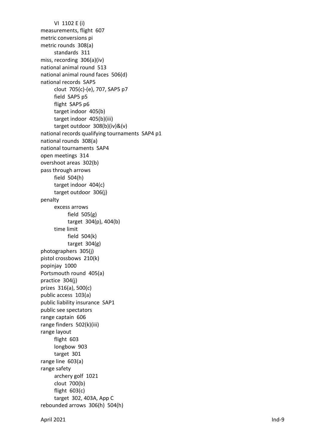VI 1102 E (i) measurements, flight 607 metric conversions pi metric rounds 308(a) standards 311 miss, recording 306(a)(iv) national animal round 513 national animal round faces 506(d) national records SAP5 clout 705(c) -(e), 707, SAP5 p7 field SAP5 p5 flight SAP5 p6 target indoor 405(b) target indoor 405(b)(iii) target outdoor 308(b)(iv)&(v) national records qualifying tournaments SAP4 p1 national rounds 308(a) national tournaments SAP4 open meetings 314 overshoot areas 302(b) pass through arrows field 504(h) target indoor 404(c) target outdoor 306(j) penalty excess arrows field 505(g) target 304(p), 404(b) time limit field 504(k) target 304(g) photographers 305(j) pistol crossbows 210(k) popinjay 1000 Portsmouth round 405(a) practice 304(j) prizes 316(a), 500(c) public access 103(a) public liability insurance SAP1 public see spectators range captain 606 range finders 502( k)(iii) range layout flight 603 longbow 903 target 301 range line 603(a) range safety archery golf 1021 clout 700(b) flight 603(c) target 302, 403A, App C rebounded arrows 306(h) 504(h)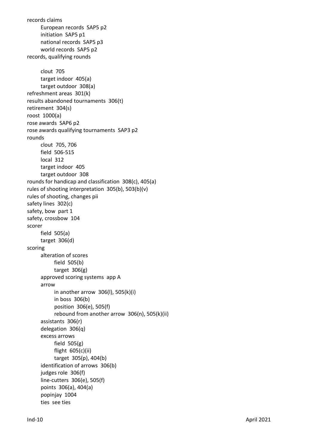records claims European records SAP5 p2 initiation SAP5 p1 national records SAP5 p3 world records SAP5 p2 records, qualifying rounds clout 705 target indoor 405(a) target outdoor 308(a) refreshment areas 301(k) results abandoned tournaments 306(t) retirement 304(s) roost 1000(a) rose awards SAP6 p2 rose awards qualifying tournaments SAP3 p2 rounds clout 705, 706 field 506-515 local 312 target indoor 405 target outdoor 308 rounds for handicap and classification 308(c), 405(a) rules of shooting interpretation 305(b), 503(b)(v) rules of shooting, changes pii safety lines 302(c) safety, bow part 1 safety, crossbow 104 scorer field 505(a) target 306(d) scoring alteration of scores field 505(b) target 306(g) approved scoring systems app A arrow in another arrow 306(l), 505(k)(i) in boss 306(b) position 306(e), 505(f) rebound from another arrow 306(n), 505(k)(ii) assistants 306(r) delegation 306(q) excess arrows field 505(g) flight 605(c)(ii) target 305(p), 404(b) identification of arrows 306(b) judges role 306(f) line-cutters 306(e), 505(f) points 306(a), 404(a) popinjay 1004 ties see ties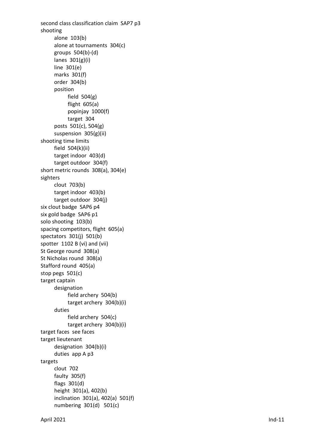second class classification claim SAP7 p3 shooting alone 103(b) alone at tournaments 304(c) groups 504(b) -(d) lanes 301(g)(i) line 301(e) marks 301(f) order 304(b) position field 504(g) flight 605(a) popinjay 1000(f) target 304 posts 501(c), 504(g) suspension 305(g)(ii) shooting time limits field 504(k)(ii) target indoor 403(d) target outdoor 304(f) short metric rounds 308(a), 304(e) sighters clout 703(b) target indoor 403(b) target outdoor 304(j) six clout badge SAP6 p4 six gold badge SAP6 p1 solo shooting 103(b) spacing competitors, flight 605(a) spectators 301(i) 501(b) spotter 1102 B (vi) and (vii) St George round 308(a) St Nicholas round 308(a) Stafford round 405(a) stop pegs 501(c) target captain designation field archery 504(b) target archery 304(b)(i) duties field archery 504(c) target archery 304(b)(i) target faces see faces target lieutenant designation 304(b)(i) duties app A p3 targets clout 702 faulty 305(f) flags 301(d) height 301(a), 402(b) inclination 301(a), 402(a) 501(f) numbering 301(d) 501(c)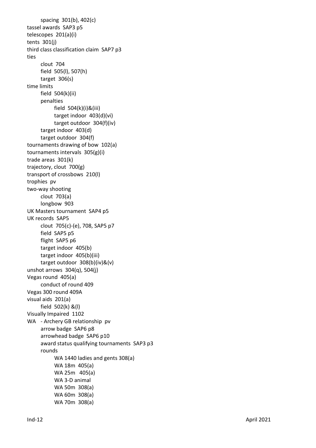spacing 301(b), 402(c) tassel awards SAP3 p5 telescopes 201(a)(i) tents 301(j) third class classification claim SAP7 p3 ties clout 704 field 505(l), 507(h) target 306(s) time limits field 504(k)(ii) penalties field 504(k)(i)&(iii) target indoor 403(d)(vi) target outdoor 304(f)(iv) target indoor 403(d) target outdoor 304(f) tournaments drawing of bow 102(a) tournaments intervals 305(g)(i) trade areas 301(k) trajectory, clout 700(g) transport of crossbows 210(l) trophies pv two-way shooting clout 703(a) longbow 903 UK Masters tournament SAP4 p5 UK records SAP5 clout 705(c) -(e), 708, SAP5 p7 field SAP5 p5 flight SAP5 p6 target indoor 405(b) target indoor 405(b)(iii) target outdoor 308(b)(iv)&(v) unshot arrows 304(q), 504(j) Vegas round 405(a) conduct of round 409 Vegas 300 round 409A visual aids 201(a) field 502(k) &(l) Visually Impaired 1102 WA - Archery GB relationship pv arrow badge SAP6 p8 arrowhead badge SAP6 p10 award status qualifying tournaments SAP3 p3 rounds WA 1440 ladies and gents 308(a) WA 18m 405(a) WA 25m 405(a) WA 3 -D animal WA 50m 308(a) WA 60m 308(a) WA 70m 308(a)